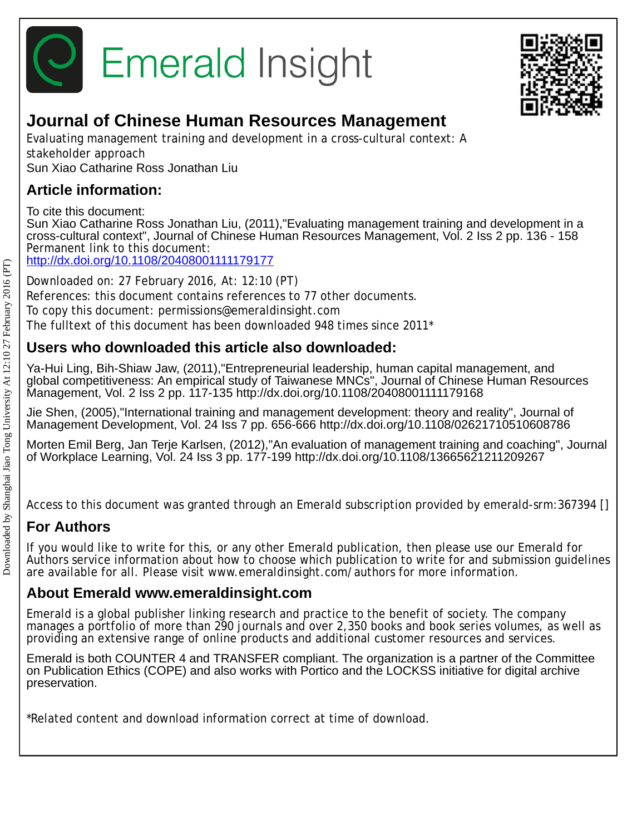



## **Journal of Chinese Human Resources Management**

Evaluating management training and development in a cross-cultural context: A stakeholder approach Sun Xiao Catharine Ross Jonathan Liu

## **Article information:**

To cite this document:

Sun Xiao Catharine Ross Jonathan Liu, (2011),"Evaluating management training and development in a cross-cultural context", Journal of Chinese Human Resources Management, Vol. 2 Iss 2 pp. 136 - 158 Permanent link to this document: <http://dx.doi.org/10.1108/20408001111179177>

Downloaded on: 27 February 2016, At: 12:10 (PT) References: this document contains references to 77 other documents. To copy this document: permissions@emeraldinsight.com The fulltext of this document has been downloaded 948 times since 2011\*

## **Users who downloaded this article also downloaded:**

Ya-Hui Ling, Bih-Shiaw Jaw, (2011),"Entrepreneurial leadership, human capital management, and global competitiveness: An empirical study of Taiwanese MNCs", Journal of Chinese Human Resources Management, Vol. 2 Iss 2 pp. 117-135 http://dx.doi.org/10.1108/20408001111179168

Jie Shen, (2005),"International training and management development: theory and reality", Journal of Management Development, Vol. 24 Iss 7 pp. 656-666 http://dx.doi.org/10.1108/02621710510608786

Morten Emil Berg, Jan Terje Karlsen, (2012),"An evaluation of management training and coaching", Journal of Workplace Learning, Vol. 24 Iss 3 pp. 177-199 http://dx.doi.org/10.1108/13665621211209267

Access to this document was granted through an Emerald subscription provided by emerald-srm:367394 []

## **For Authors**

If you would like to write for this, or any other Emerald publication, then please use our Emerald for Authors service information about how to choose which publication to write for and submission guidelines are available for all. Please visit www.emeraldinsight.com/authors for more information.

## **About Emerald www.emeraldinsight.com**

Emerald is a global publisher linking research and practice to the benefit of society. The company manages a portfolio of more than 290 journals and over 2,350 books and book series volumes, as well as providing an extensive range of online products and additional customer resources and services.

Emerald is both COUNTER 4 and TRANSFER compliant. The organization is a partner of the Committee on Publication Ethics (COPE) and also works with Portico and the LOCKSS initiative for digital archive preservation.

\*Related content and download information correct at time of download.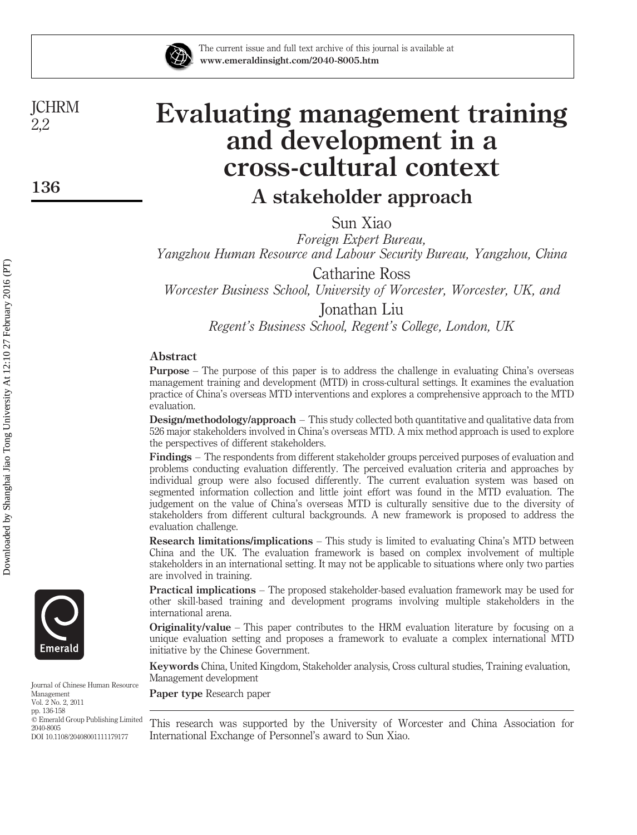

The current issue and full text archive of this journal is available at www.emeraldinsight.com/2040-8005.htm

**ICHRM** 2,2

136



Journal of Chinese Human Resource Management Vol. 2 No. 2, 2011 pp. 136-158 q Emerald Group Publishing Limited 2040-8005 DOI 10.1108/20408001111179177

# Evaluating management training and development in a cross-cultural context

## A stakeholder approach

Sun Xiao

Foreign Expert Bureau, Yangzhou Human Resource and Labour Security Bureau, Yangzhou, China

Catharine Ross Worcester Business School, University of Worcester, Worcester, UK, and

> Jonathan Liu Regent's Business School, Regent's College, London, UK

#### Abstract

Purpose – The purpose of this paper is to address the challenge in evaluating China's overseas management training and development (MTD) in cross-cultural settings. It examines the evaluation practice of China's overseas MTD interventions and explores a comprehensive approach to the MTD evaluation.

**Design/methodology/approach** – This study collected both quantitative and qualitative data from 526 major stakeholders involved in China's overseas MTD. A mix method approach is used to explore the perspectives of different stakeholders.

Findings – The respondents from different stakeholder groups perceived purposes of evaluation and problems conducting evaluation differently. The perceived evaluation criteria and approaches by individual group were also focused differently. The current evaluation system was based on segmented information collection and little joint effort was found in the MTD evaluation. The judgement on the value of China's overseas MTD is culturally sensitive due to the diversity of stakeholders from different cultural backgrounds. A new framework is proposed to address the evaluation challenge.

Research limitations/implications – This study is limited to evaluating China's MTD between China and the UK. The evaluation framework is based on complex involvement of multiple stakeholders in an international setting. It may not be applicable to situations where only two parties are involved in training.

Practical implications – The proposed stakeholder-based evaluation framework may be used for other skill-based training and development programs involving multiple stakeholders in the international arena.

Originality/value – This paper contributes to the HRM evaluation literature by focusing on a unique evaluation setting and proposes a framework to evaluate a complex international MTD initiative by the Chinese Government.

Keywords China, United Kingdom, Stakeholder analysis, Cross cultural studies, Training evaluation, Management development

Paper type Research paper

This research was supported by the University of Worcester and China Association for International Exchange of Personnel's award to Sun Xiao.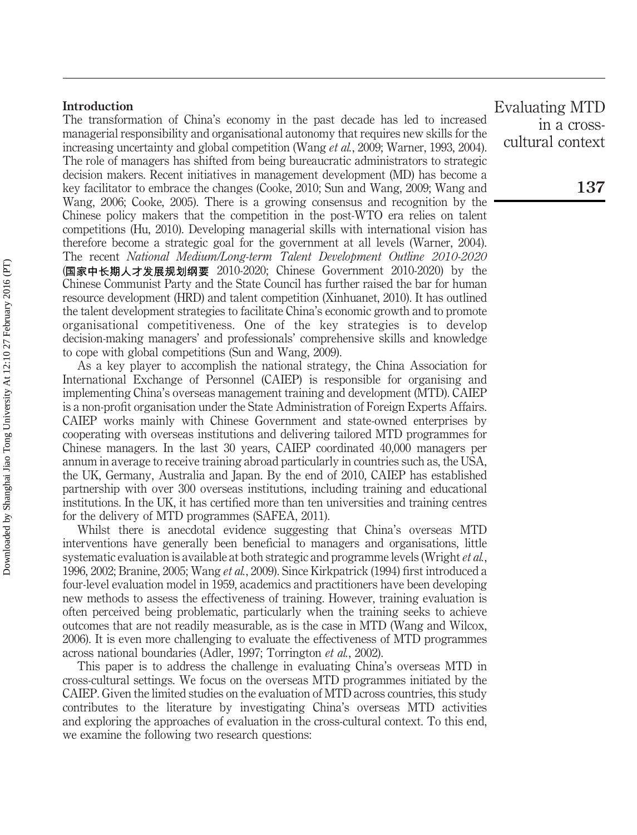#### Introduction

The transformation of China's economy in the past decade has led to increased managerial responsibility and organisational autonomy that requires new skills for the increasing uncertainty and global competition (Wang et al., 2009; Warner, 1993, 2004). The role of managers has shifted from being bureaucratic administrators to strategic decision makers. Recent initiatives in management development (MD) has become a key facilitator to embrace the changes (Cooke, 2010; Sun and Wang, 2009; Wang and Wang, 2006; Cooke, 2005). There is a growing consensus and recognition by the Chinese policy makers that the competition in the post-WTO era relies on talent competitions (Hu, 2010). Developing managerial skills with international vision has therefore become a strategic goal for the government at all levels (Warner, 2004). The recent National Medium/Long-term Talent Development Outline 2010-2020 (国家中长期人才发展规划纲要 2010-2020; Chinese Government 2010-2020) by the Chinese Communist Party and the State Council has further raised the bar for human resource development (HRD) and talent competition (Xinhuanet, 2010). It has outlined the talent development strategies to facilitate China's economic growth and to promote organisational competitiveness. One of the key strategies is to develop decision-making managers' and professionals' comprehensive skills and knowledge to cope with global competitions (Sun and Wang, 2009).

As a key player to accomplish the national strategy, the China Association for International Exchange of Personnel (CAIEP) is responsible for organising and implementing China's overseas management training and development (MTD). CAIEP is a non-profit organisation under the State Administration of Foreign Experts Affairs. CAIEP works mainly with Chinese Government and state-owned enterprises by cooperating with overseas institutions and delivering tailored MTD programmes for Chinese managers. In the last 30 years, CAIEP coordinated 40,000 managers per annum in average to receive training abroad particularly in countries such as, the USA, the UK, Germany, Australia and Japan. By the end of 2010, CAIEP has established partnership with over 300 overseas institutions, including training and educational institutions. In the UK, it has certified more than ten universities and training centres for the delivery of MTD programmes (SAFEA, 2011).

Whilst there is anecdotal evidence suggesting that China's overseas MTD interventions have generally been beneficial to managers and organisations, little systematic evaluation is available at both strategic and programme levels (Wright et al., 1996, 2002; Branine, 2005; Wang et al., 2009). Since Kirkpatrick (1994) first introduced a four-level evaluation model in 1959, academics and practitioners have been developing new methods to assess the effectiveness of training. However, training evaluation is often perceived being problematic, particularly when the training seeks to achieve outcomes that are not readily measurable, as is the case in MTD (Wang and Wilcox, 2006). It is even more challenging to evaluate the effectiveness of MTD programmes across national boundaries (Adler, 1997; Torrington et al., 2002).

This paper is to address the challenge in evaluating China's overseas MTD in cross-cultural settings. We focus on the overseas MTD programmes initiated by the CAIEP. Given the limited studies on the evaluation of MTD across countries, this study contributes to the literature by investigating China's overseas MTD activities and exploring the approaches of evaluation in the cross-cultural context. To this end, we examine the following two research questions:

Evaluating MTD in a crosscultural context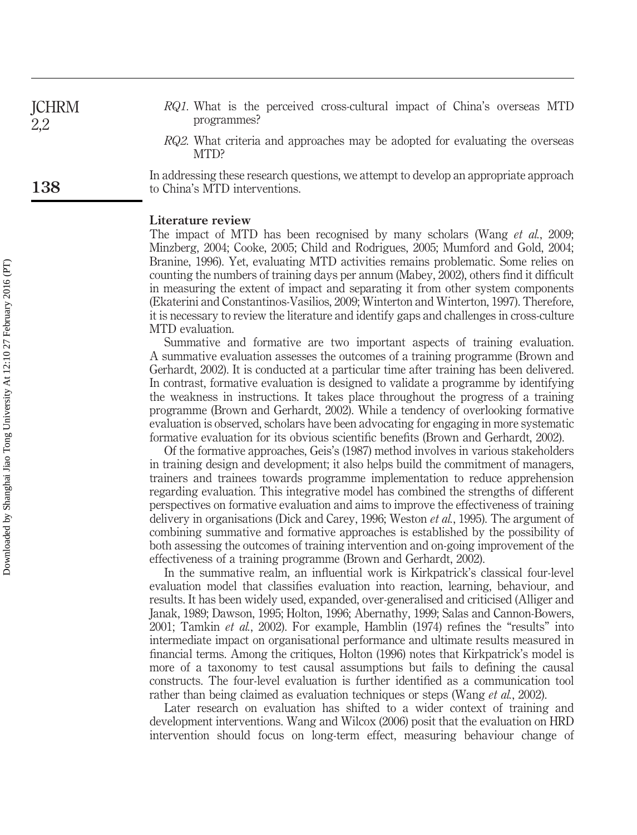## RQ1. What is the perceived cross-cultural impact of China's overseas MTD programmes?

RQ2. What criteria and approaches may be adopted for evaluating the overseas MTD?

In addressing these research questions, we attempt to develop an appropriate approach to China's MTD interventions.

### Literature review

The impact of MTD has been recognised by many scholars (Wang *et al.*, 2009; Minzberg, 2004; Cooke, 2005; Child and Rodrigues, 2005; Mumford and Gold, 2004; Branine, 1996). Yet, evaluating MTD activities remains problematic. Some relies on counting the numbers of training days per annum (Mabey, 2002), others find it difficult in measuring the extent of impact and separating it from other system components (Ekaterini and Constantinos-Vasilios, 2009; Winterton and Winterton, 1997). Therefore, it is necessary to review the literature and identify gaps and challenges in cross-culture MTD evaluation.

Summative and formative are two important aspects of training evaluation. A summative evaluation assesses the outcomes of a training programme (Brown and Gerhardt, 2002). It is conducted at a particular time after training has been delivered. In contrast, formative evaluation is designed to validate a programme by identifying the weakness in instructions. It takes place throughout the progress of a training programme (Brown and Gerhardt, 2002). While a tendency of overlooking formative evaluation is observed, scholars have been advocating for engaging in more systematic formative evaluation for its obvious scientific benefits (Brown and Gerhardt, 2002).

Of the formative approaches, Geis's (1987) method involves in various stakeholders in training design and development; it also helps build the commitment of managers, trainers and trainees towards programme implementation to reduce apprehension regarding evaluation. This integrative model has combined the strengths of different perspectives on formative evaluation and aims to improve the effectiveness of training delivery in organisations (Dick and Carey, 1996; Weston et al., 1995). The argument of combining summative and formative approaches is established by the possibility of both assessing the outcomes of training intervention and on-going improvement of the effectiveness of a training programme (Brown and Gerhardt, 2002).

In the summative realm, an influential work is Kirkpatrick's classical four-level evaluation model that classifies evaluation into reaction, learning, behaviour, and results. It has been widely used, expanded, over-generalised and criticised (Alliger and Janak, 1989; Dawson, 1995; Holton, 1996; Abernathy, 1999; Salas and Cannon-Bowers, 2001; Tamkin et al., 2002). For example, Hamblin (1974) refines the "results" into intermediate impact on organisational performance and ultimate results measured in financial terms. Among the critiques, Holton (1996) notes that Kirkpatrick's model is more of a taxonomy to test causal assumptions but fails to defining the causal constructs. The four-level evaluation is further identified as a communication tool rather than being claimed as evaluation techniques or steps (Wang *et al.*, 2002).

Later research on evaluation has shifted to a wider context of training and development interventions. Wang and Wilcox (2006) posit that the evaluation on HRD intervention should focus on long-term effect, measuring behaviour change of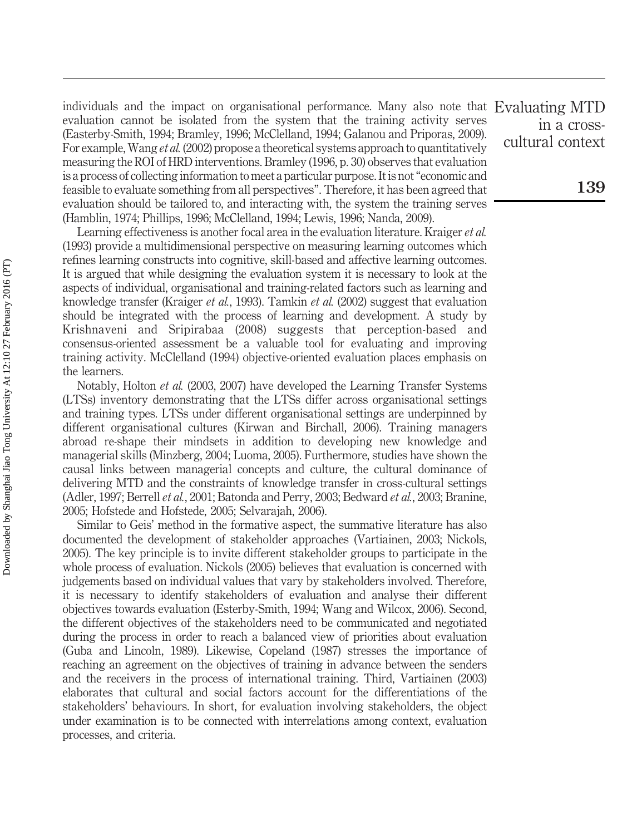individuals and the impact on organisational performance. Many also note that Evaluating MTD evaluation cannot be isolated from the system that the training activity serves (Easterby-Smith, 1994; Bramley, 1996; McClelland, 1994; Galanou and Priporas, 2009). For example, Wang et al. (2002) propose a theoretical systems approach to quantitatively measuring the ROI of HRD interventions. Bramley (1996, p. 30) observes that evaluation is a process of collecting information to meet a particular purpose. It is not "economic and feasible to evaluate something from all perspectives". Therefore, it has been agreed that evaluation should be tailored to, and interacting with, the system the training serves (Hamblin, 1974; Phillips, 1996; McClelland, 1994; Lewis, 1996; Nanda, 2009).

Learning effectiveness is another focal area in the evaluation literature. Kraiger et al. (1993) provide a multidimensional perspective on measuring learning outcomes which refines learning constructs into cognitive, skill-based and affective learning outcomes. It is argued that while designing the evaluation system it is necessary to look at the aspects of individual, organisational and training-related factors such as learning and knowledge transfer (Kraiger et al., 1993). Tamkin et al. (2002) suggest that evaluation should be integrated with the process of learning and development. A study by Krishnaveni and Sripirabaa (2008) suggests that perception-based and consensus-oriented assessment be a valuable tool for evaluating and improving training activity. McClelland (1994) objective-oriented evaluation places emphasis on the learners.

Notably, Holton et al. (2003, 2007) have developed the Learning Transfer Systems (LTSs) inventory demonstrating that the LTSs differ across organisational settings and training types. LTSs under different organisational settings are underpinned by different organisational cultures (Kirwan and Birchall, 2006). Training managers abroad re-shape their mindsets in addition to developing new knowledge and managerial skills (Minzberg, 2004; Luoma, 2005). Furthermore, studies have shown the causal links between managerial concepts and culture, the cultural dominance of delivering MTD and the constraints of knowledge transfer in cross-cultural settings (Adler, 1997; Berrell et al., 2001; Batonda and Perry, 2003; Bedward et al., 2003; Branine, 2005; Hofstede and Hofstede, 2005; Selvarajah, 2006).

Similar to Geis' method in the formative aspect, the summative literature has also documented the development of stakeholder approaches (Vartiainen, 2003; Nickols, 2005). The key principle is to invite different stakeholder groups to participate in the whole process of evaluation. Nickols (2005) believes that evaluation is concerned with judgements based on individual values that vary by stakeholders involved. Therefore, it is necessary to identify stakeholders of evaluation and analyse their different objectives towards evaluation (Esterby-Smith, 1994; Wang and Wilcox, 2006). Second, the different objectives of the stakeholders need to be communicated and negotiated during the process in order to reach a balanced view of priorities about evaluation (Guba and Lincoln, 1989). Likewise, Copeland (1987) stresses the importance of reaching an agreement on the objectives of training in advance between the senders and the receivers in the process of international training. Third, Vartiainen (2003) elaborates that cultural and social factors account for the differentiations of the stakeholders' behaviours. In short, for evaluation involving stakeholders, the object under examination is to be connected with interrelations among context, evaluation processes, and criteria.

in a crosscultural context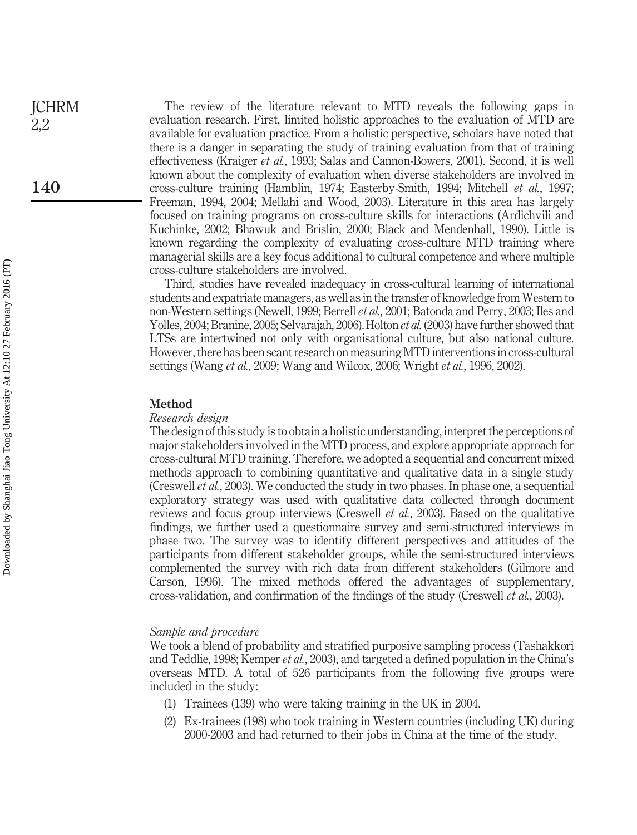The review of the literature relevant to MTD reveals the following gaps in evaluation research. First, limited holistic approaches to the evaluation of MTD are available for evaluation practice. From a holistic perspective, scholars have noted that there is a danger in separating the study of training evaluation from that of training effectiveness (Kraiger et al., 1993; Salas and Cannon-Bowers, 2001). Second, it is well known about the complexity of evaluation when diverse stakeholders are involved in cross-culture training (Hamblin, 1974; Easterby-Smith, 1994; Mitchell et al., 1997; Freeman, 1994, 2004; Mellahi and Wood, 2003). Literature in this area has largely focused on training programs on cross-culture skills for interactions (Ardichvili and Kuchinke, 2002; Bhawuk and Brislin, 2000; Black and Mendenhall, 1990). Little is known regarding the complexity of evaluating cross-culture MTD training where managerial skills are a key focus additional to cultural competence and where multiple cross-culture stakeholders are involved.

Third, studies have revealed inadequacy in cross-cultural learning of international students and expatriate managers, as well as in the transfer of knowledge from Western to non-Western settings (Newell, 1999; Berrell et al., 2001; Batonda and Perry, 2003; Iles and Yolles, 2004; Branine, 2005; Selvarajah, 2006). Holton et al. (2003) have further showed that LTSs are intertwined not only with organisational culture, but also national culture. However, there has been scant research on measuring MTD interventions in cross-cultural settings (Wang et al., 2009; Wang and Wilcox, 2006; Wright et al., 1996, 2002).

#### Method

#### Research design

The design of this study is to obtain a holistic understanding, interpret the perceptions of major stakeholders involved in the MTD process, and explore appropriate approach for cross-cultural MTD training. Therefore, we adopted a sequential and concurrent mixed methods approach to combining quantitative and qualitative data in a single study (Creswell *et al.*, 2003). We conducted the study in two phases. In phase one, a sequential exploratory strategy was used with qualitative data collected through document reviews and focus group interviews (Creswell et al., 2003). Based on the qualitative findings, we further used a questionnaire survey and semi-structured interviews in phase two. The survey was to identify different perspectives and attitudes of the participants from different stakeholder groups, while the semi-structured interviews complemented the survey with rich data from different stakeholders (Gilmore and Carson, 1996). The mixed methods offered the advantages of supplementary, cross-validation, and confirmation of the findings of the study (Creswell et al., 2003).

#### Sample and procedure

We took a blend of probability and stratified purposive sampling process (Tashakkori and Teddlie, 1998; Kemper et al., 2003), and targeted a defined population in the China's overseas MTD. A total of 526 participants from the following five groups were included in the study:

- (1) Trainees (139) who were taking training in the UK in 2004.
- (2) Ex-trainees (198) who took training in Western countries (including UK) during 2000-2003 and had returned to their jobs in China at the time of the study.

140

**ICHRM**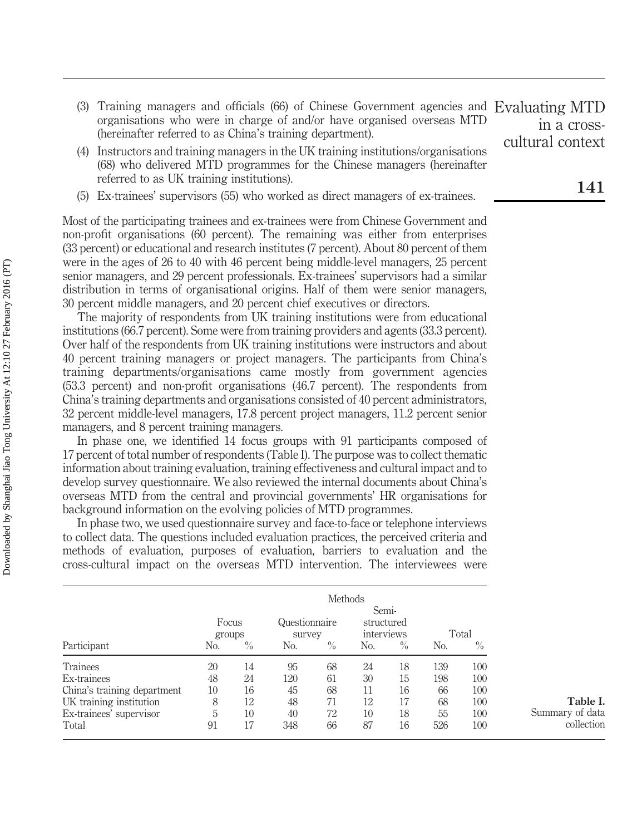- (3) Training managers and officials (66) of Chinese Government agencies and Evaluating MTD organisations who were in charge of and/or have organised overseas MTD (hereinafter referred to as China's training department). in a crosscultural context
- (4) Instructors and training managers in the UK training institutions/organisations (68) who delivered MTD programmes for the Chinese managers (hereinafter referred to as UK training institutions).
- (5) Ex-trainees' supervisors (55) who worked as direct managers of ex-trainees.

Most of the participating trainees and ex-trainees were from Chinese Government and non-profit organisations (60 percent). The remaining was either from enterprises (33 percent) or educational and research institutes (7 percent). About 80 percent of them were in the ages of 26 to 40 with 46 percent being middle-level managers, 25 percent senior managers, and 29 percent professionals. Ex-trainees' supervisors had a similar distribution in terms of organisational origins. Half of them were senior managers, 30 percent middle managers, and 20 percent chief executives or directors.

The majority of respondents from UK training institutions were from educational institutions (66.7 percent). Some were from training providers and agents (33.3 percent). Over half of the respondents from UK training institutions were instructors and about 40 percent training managers or project managers. The participants from China's training departments/organisations came mostly from government agencies (53.3 percent) and non-profit organisations (46.7 percent). The respondents from China's training departments and organisations consisted of 40 percent administrators, 32 percent middle-level managers, 17.8 percent project managers, 11.2 percent senior managers, and 8 percent training managers.

In phase one, we identified 14 focus groups with 91 participants composed of 17 percent of total number of respondents (Table I). The purpose was to collect thematic information about training evaluation, training effectiveness and cultural impact and to develop survey questionnaire. We also reviewed the internal documents about China's overseas MTD from the central and provincial governments' HR organisations for background information on the evolving policies of MTD programmes.

In phase two, we used questionnaire survey and face-to-face or telephone interviews to collect data. The questions included evaluation practices, the perceived criteria and methods of evaluation, purposes of evaluation, barriers to evaluation and the cross-cultural impact on the overseas MTD intervention. The interviewees were

|                             |                 |      |                         | <b>Methods</b> | Semi-                    |      |     |       |                 |
|-----------------------------|-----------------|------|-------------------------|----------------|--------------------------|------|-----|-------|-----------------|
|                             | Focus<br>groups |      | Questionnaire<br>survey |                | structured<br>interviews |      |     | Total |                 |
| Participant                 | No.             | $\%$ | No.                     | $\%$           | No.                      | $\%$ | No. | $\%$  |                 |
| Trainees                    | 20              | 14   | 95                      | 68             | 24                       | 18   | 139 | 100   |                 |
| Ex-trainees                 | 48              | 24   | 120                     | 61             | 30                       | 15   | 198 | 100   |                 |
| China's training department | 10              | 16   | 45                      | 68             | 11                       | 16   | 66  | 100   |                 |
| UK training institution     | 8               | 12   | 48                      | 71             | 12                       | 17   | 68  | 100   | Table I.        |
| Ex-trainees' supervisor     | 5               | 10   | 40                      | 72             | 10                       | 18   | 55  | 100   | Summary of data |
| Total                       | 91              | 17   | 348                     | 66             | 87                       | 16   | 526 | 100   | collection      |

141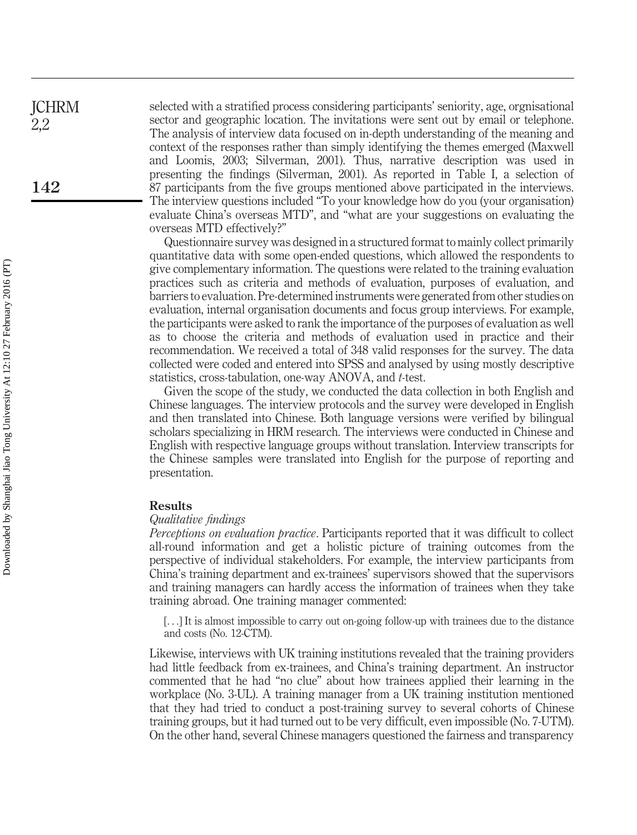selected with a stratified process considering participants' seniority, age, orgnisational sector and geographic location. The invitations were sent out by email or telephone. The analysis of interview data focused on in-depth understanding of the meaning and context of the responses rather than simply identifying the themes emerged (Maxwell and Loomis, 2003; Silverman, 2001). Thus, narrative description was used in presenting the findings (Silverman, 2001). As reported in Table I, a selection of 87 participants from the five groups mentioned above participated in the interviews. The interview questions included "To your knowledge how do you (your organisation) evaluate China's overseas MTD", and "what are your suggestions on evaluating the overseas MTD effectively?"

Questionnaire survey was designed in a structured format to mainly collect primarily quantitative data with some open-ended questions, which allowed the respondents to give complementary information. The questions were related to the training evaluation practices such as criteria and methods of evaluation, purposes of evaluation, and barriers to evaluation. Pre-determined instruments were generated from other studies on evaluation, internal organisation documents and focus group interviews. For example, the participants were asked to rank the importance of the purposes of evaluation as well as to choose the criteria and methods of evaluation used in practice and their recommendation. We received a total of 348 valid responses for the survey. The data collected were coded and entered into SPSS and analysed by using mostly descriptive statistics, cross-tabulation, one-way ANOVA, and t-test.

Given the scope of the study, we conducted the data collection in both English and Chinese languages. The interview protocols and the survey were developed in English and then translated into Chinese. Both language versions were verified by bilingual scholars specializing in HRM research. The interviews were conducted in Chinese and English with respective language groups without translation. Interview transcripts for the Chinese samples were translated into English for the purpose of reporting and presentation.

#### Results

#### Qualitative findings

Perceptions on evaluation practice. Participants reported that it was difficult to collect all-round information and get a holistic picture of training outcomes from the perspective of individual stakeholders. For example, the interview participants from China's training department and ex-trainees' supervisors showed that the supervisors and training managers can hardly access the information of trainees when they take training abroad. One training manager commented:

[...] It is almost impossible to carry out on-going follow-up with trainees due to the distance and costs (No. 12-CTM).

Likewise, interviews with UK training institutions revealed that the training providers had little feedback from ex-trainees, and China's training department. An instructor commented that he had "no clue" about how trainees applied their learning in the workplace (No. 3-UL). A training manager from a UK training institution mentioned that they had tried to conduct a post-training survey to several cohorts of Chinese training groups, but it had turned out to be very difficult, even impossible (No. 7-UTM). On the other hand, several Chinese managers questioned the fairness and transparency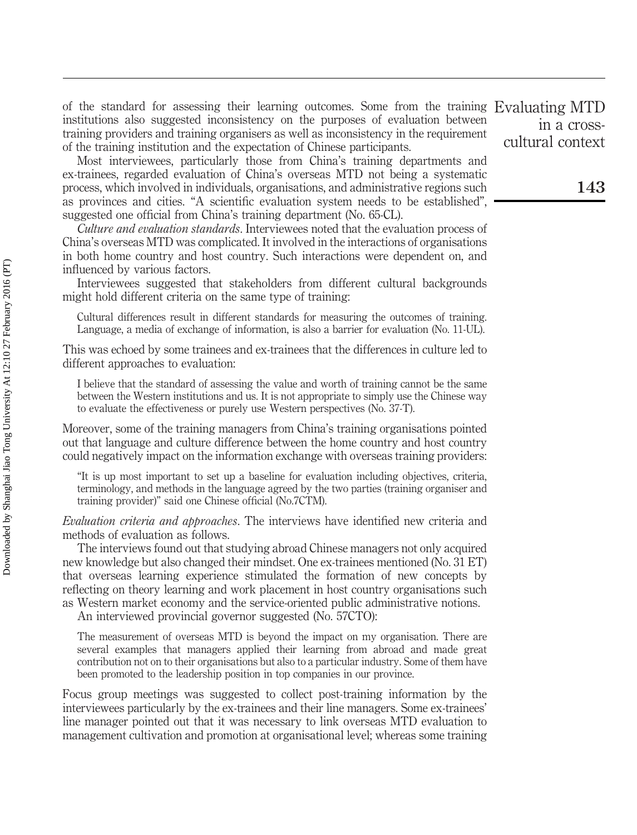of the standard for assessing their learning outcomes. Some from the training Evaluating MTD institutions also suggested inconsistency on the purposes of evaluation between training providers and training organisers as well as inconsistency in the requirement of the training institution and the expectation of Chinese participants.

Most interviewees, particularly those from China's training departments and ex-trainees, regarded evaluation of China's overseas MTD not being a systematic process, which involved in individuals, organisations, and administrative regions such as provinces and cities. "A scientific evaluation system needs to be established", suggested one official from China's training department (No. 65-CL).

Culture and evaluation standards. Interviewees noted that the evaluation process of China's overseas MTD was complicated. It involved in the interactions of organisations in both home country and host country. Such interactions were dependent on, and influenced by various factors.

Interviewees suggested that stakeholders from different cultural backgrounds might hold different criteria on the same type of training:

Cultural differences result in different standards for measuring the outcomes of training. Language, a media of exchange of information, is also a barrier for evaluation (No. 11-UL).

This was echoed by some trainees and ex-trainees that the differences in culture led to different approaches to evaluation:

I believe that the standard of assessing the value and worth of training cannot be the same between the Western institutions and us. It is not appropriate to simply use the Chinese way to evaluate the effectiveness or purely use Western perspectives (No. 37-T).

Moreover, some of the training managers from China's training organisations pointed out that language and culture difference between the home country and host country could negatively impact on the information exchange with overseas training providers:

"It is up most important to set up a baseline for evaluation including objectives, criteria, terminology, and methods in the language agreed by the two parties (training organiser and training provider)" said one Chinese official (No.7CTM).

Evaluation criteria and approaches. The interviews have identified new criteria and methods of evaluation as follows.

The interviews found out that studying abroad Chinese managers not only acquired new knowledge but also changed their mindset. One ex-trainees mentioned (No. 31 ET) that overseas learning experience stimulated the formation of new concepts by reflecting on theory learning and work placement in host country organisations such as Western market economy and the service-oriented public administrative notions.

An interviewed provincial governor suggested (No. 57CTO):

The measurement of overseas MTD is beyond the impact on my organisation. There are several examples that managers applied their learning from abroad and made great contribution not on to their organisations but also to a particular industry. Some of them have been promoted to the leadership position in top companies in our province.

Focus group meetings was suggested to collect post-training information by the interviewees particularly by the ex-trainees and their line managers. Some ex-trainees' line manager pointed out that it was necessary to link overseas MTD evaluation to management cultivation and promotion at organisational level; whereas some training

in a crosscultural context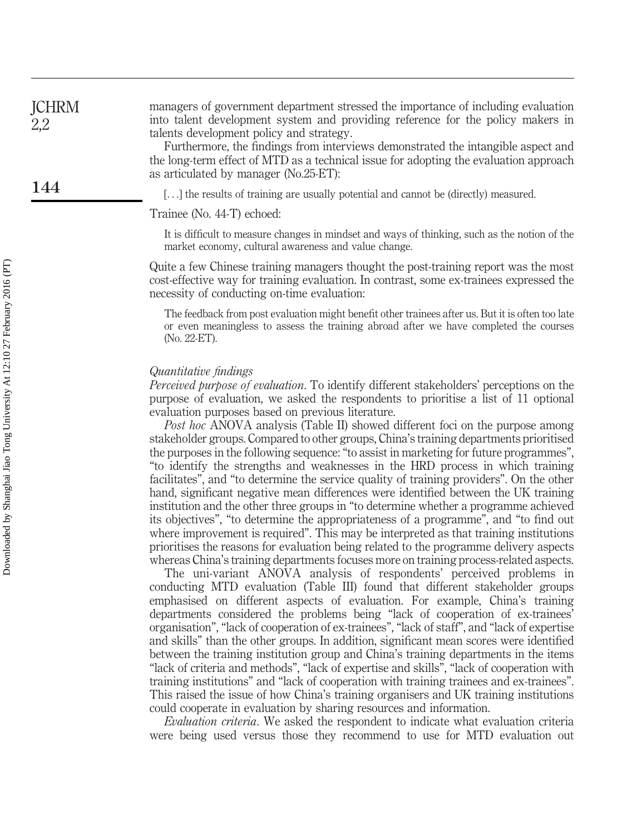144

managers of government department stressed the importance of including evaluation into talent development system and providing reference for the policy makers in talents development policy and strategy.

Furthermore, the findings from interviews demonstrated the intangible aspect and the long-term effect of MTD as a technical issue for adopting the evaluation approach as articulated by manager (No.25-ET):

[...] the results of training are usually potential and cannot be (directly) measured.

Trainee (No. 44-T) echoed:

It is difficult to measure changes in mindset and ways of thinking, such as the notion of the market economy, cultural awareness and value change.

Quite a few Chinese training managers thought the post-training report was the most cost-effective way for training evaluation. In contrast, some ex-trainees expressed the necessity of conducting on-time evaluation:

The feedback from post evaluation might benefit other trainees after us. But it is often too late or even meaningless to assess the training abroad after we have completed the courses (No. 22-ET).

#### Quantitative findings

Perceived purpose of evaluation. To identify different stakeholders' perceptions on the purpose of evaluation, we asked the respondents to prioritise a list of 11 optional evaluation purposes based on previous literature.

Post hoc ANOVA analysis (Table II) showed different foci on the purpose among stakeholder groups. Compared to other groups, China's training departments prioritised the purposes in the following sequence: "to assist in marketing for future programmes", "to identify the strengths and weaknesses in the HRD process in which training facilitates", and "to determine the service quality of training providers". On the other hand, significant negative mean differences were identified between the UK training institution and the other three groups in "to determine whether a programme achieved its objectives", "to determine the appropriateness of a programme", and "to find out where improvement is required". This may be interpreted as that training institutions prioritises the reasons for evaluation being related to the programme delivery aspects whereas China's training departments focuses more on training process-related aspects.

The uni-variant ANOVA analysis of respondents' perceived problems in conducting MTD evaluation (Table III) found that different stakeholder groups emphasised on different aspects of evaluation. For example, China's training departments considered the problems being "lack of cooperation of ex-trainees' organisation", "lack of cooperation of ex-trainees", "lack of staff", and "lack of expertise and skills" than the other groups. In addition, significant mean scores were identified between the training institution group and China's training departments in the items "lack of criteria and methods", "lack of expertise and skills", "lack of cooperation with training institutions" and "lack of cooperation with training trainees and ex-trainees". This raised the issue of how China's training organisers and UK training institutions could cooperate in evaluation by sharing resources and information.

Evaluation criteria. We asked the respondent to indicate what evaluation criteria were being used versus those they recommend to use for MTD evaluation out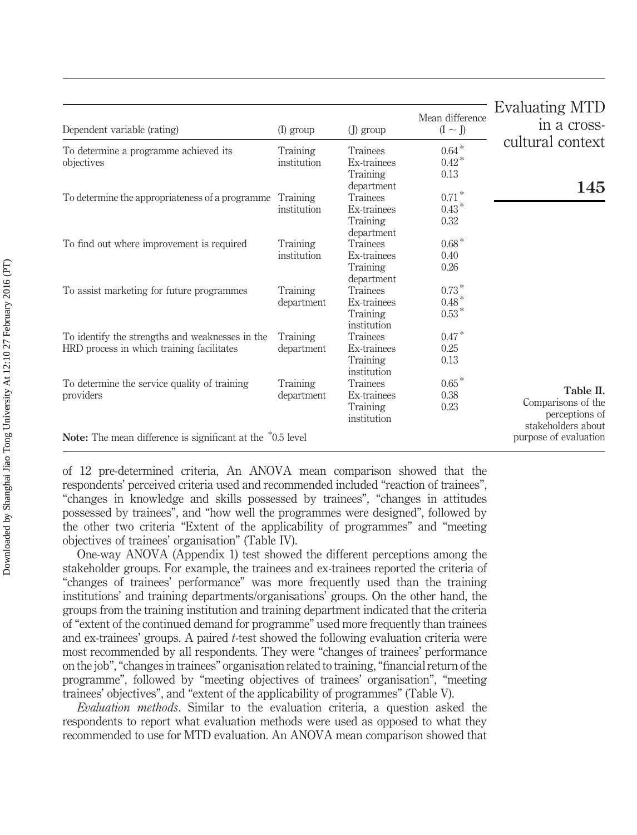| Dependent variable (rating)                                                  | (I) group   | $(J)$ group | Mean difference<br>$(I \sim J)$ | Evaluating MTD<br>in a cross-        |
|------------------------------------------------------------------------------|-------------|-------------|---------------------------------|--------------------------------------|
| To determine a programme achieved its                                        | Training    | Trainees    | $0.64*$                         | cultural context                     |
| objectives                                                                   | institution | Ex-trainees | $0.42*$                         |                                      |
|                                                                              |             | Training    | 0.13                            |                                      |
|                                                                              |             | department  |                                 | 145                                  |
| To determine the appropriateness of a programme.                             | Training    | Trainees    | $0.71$ <sup>*</sup>             |                                      |
|                                                                              | institution | Ex-trainees | $0.43*$                         |                                      |
|                                                                              |             | Training    | 0.32                            |                                      |
|                                                                              |             | department  |                                 |                                      |
| To find out where improvement is required                                    | Training    | Trainees    | $0.68$ $^{\ast}$                |                                      |
|                                                                              | institution | Ex-trainees | 0.40                            |                                      |
|                                                                              |             | Training    | 0.26                            |                                      |
|                                                                              |             | department  |                                 |                                      |
| To assist marketing for future programmes                                    | Training    | Trainees    | $0.73*$                         |                                      |
|                                                                              | department  | Ex-trainees | $0.48*$                         |                                      |
|                                                                              |             | Training    | $0.53*$                         |                                      |
|                                                                              |             | institution |                                 |                                      |
| To identify the strengths and weaknesses in the                              | Training    | Trainees    | $0.47*$                         |                                      |
| HRD process in which training facilitates                                    | department  | Ex-trainees | 0.25                            |                                      |
|                                                                              |             | Training    | 0.13                            |                                      |
|                                                                              |             | institution |                                 |                                      |
| To determine the service quality of training                                 | Training    | Trainees    | $0.65*$                         |                                      |
| providers                                                                    | department  | Ex-trainees | 0.38                            | Table II.                            |
|                                                                              |             | Training    | 0.23                            | Comparisons of the                   |
|                                                                              |             | institution |                                 | perceptions of<br>stakeholders about |
| <b>Note:</b> The mean difference is significant at the <sup>*0.5</sup> level |             |             |                                 | purpose of evaluation                |

of 12 pre-determined criteria, An ANOVA mean comparison showed that the respondents' perceived criteria used and recommended included "reaction of trainees", "changes in knowledge and skills possessed by trainees", "changes in attitudes possessed by trainees", and "how well the programmes were designed", followed by the other two criteria "Extent of the applicability of programmes" and "meeting objectives of trainees' organisation" (Table IV).

One-way ANOVA (Appendix 1) test showed the different perceptions among the stakeholder groups. For example, the trainees and ex-trainees reported the criteria of "changes of trainees' performance" was more frequently used than the training institutions' and training departments/organisations' groups. On the other hand, the groups from the training institution and training department indicated that the criteria of "extent of the continued demand for programme" used more frequently than trainees and ex-trainees' groups. A paired t-test showed the following evaluation criteria were most recommended by all respondents. They were "changes of trainees' performance on the job", "changes in trainees" organisation related to training, "financial return of the programme", followed by "meeting objectives of trainees' organisation", "meeting trainees' objectives", and "extent of the applicability of programmes" (Table V).

Evaluation methods. Similar to the evaluation criteria, a question asked the respondents to report what evaluation methods were used as opposed to what they recommended to use for MTD evaluation. An ANOVA mean comparison showed that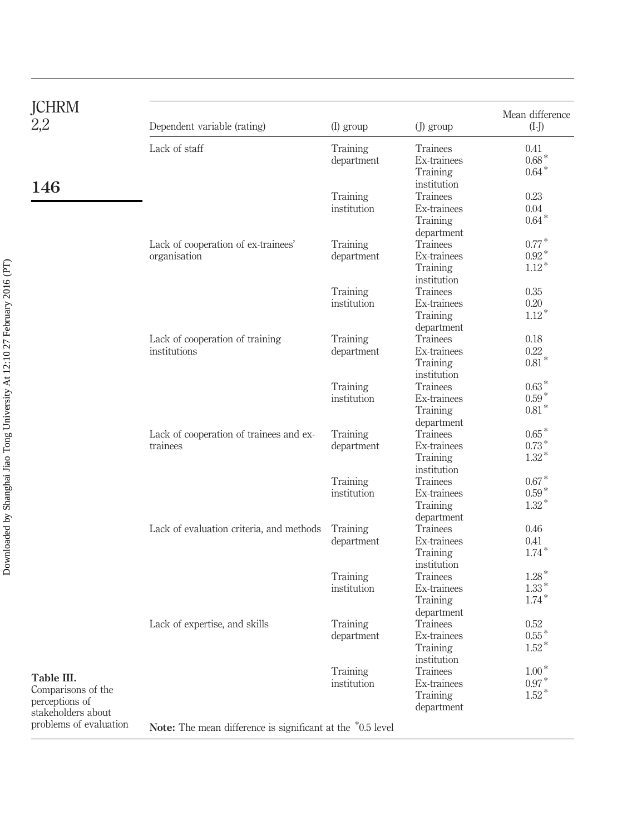| <b>JCHRM</b><br>2,2    | Dependent variable (rating)                                | (I) group   | (J) group   | Mean difference<br>$(I-I)$ |
|------------------------|------------------------------------------------------------|-------------|-------------|----------------------------|
|                        |                                                            |             |             |                            |
|                        | Lack of staff                                              | Training    | Trainees    | 0.41<br>$0.68*$            |
|                        |                                                            | department  | Ex-trainees |                            |
|                        |                                                            |             | Training    | $0.64$ *                   |
| 146                    |                                                            |             | institution |                            |
|                        |                                                            | Training    | Trainees    | 0.23                       |
|                        |                                                            | institution | Ex-trainees | 0.04                       |
|                        |                                                            |             | Training    | $0.64*$                    |
|                        |                                                            |             | department  |                            |
|                        | Lack of cooperation of ex-trainees'                        | Training    | Trainees    | $0.77*$                    |
|                        | organisation                                               | department  | Ex-trainees | $0.92*$                    |
|                        |                                                            |             | Training    | $1.12*$                    |
|                        |                                                            |             | institution |                            |
|                        |                                                            | Training    | Trainees    | 0.35                       |
|                        |                                                            | institution | Ex-trainees | 0.20                       |
|                        |                                                            |             | Training    | $1.12*$                    |
|                        |                                                            |             | department  |                            |
|                        | Lack of cooperation of training                            | Training    | Trainees    | 0.18                       |
|                        | institutions                                               | department  | Ex-trainees | 0.22                       |
|                        |                                                            |             | Training    | $0.81*$                    |
|                        |                                                            |             | institution |                            |
|                        |                                                            | Training    | Trainees    | $0.63*$                    |
|                        |                                                            | institution | Ex-trainees | $0.59*$                    |
|                        |                                                            |             | Training    | $0.81*$                    |
|                        |                                                            |             | department  |                            |
|                        | Lack of cooperation of trainees and ex-                    | Training    | Trainees    | $0.65*$                    |
|                        | trainees                                                   | department  | Ex-trainees | $0.73*$                    |
|                        |                                                            |             | Training    | $1.32*$                    |
|                        |                                                            |             | institution |                            |
|                        |                                                            | Training    | Trainees    | $0.67*$                    |
|                        |                                                            | institution | Ex-trainees | $0.59*$                    |
|                        |                                                            |             | Training    | $1.32*$                    |
|                        |                                                            |             | department  |                            |
|                        | Lack of evaluation criteria, and methods                   | Training    | Trainees    | 0.46                       |
|                        |                                                            | department  | Ex-trainees | 0.41                       |
|                        |                                                            |             | Training    | $1.74*$                    |
|                        |                                                            |             | institution |                            |
|                        |                                                            | Training    | Trainees    | $1.28*$                    |
|                        |                                                            | institution | Ex-trainees | $1.33*$                    |
|                        |                                                            |             | Training    | $1.74$ *                   |
|                        |                                                            |             | department  |                            |
|                        | Lack of expertise, and skills                              | Training    | Trainees    | 0.52                       |
|                        |                                                            | department  | Ex-trainees | $0.55*$                    |
|                        |                                                            |             | Training    | $1.52*$                    |
|                        |                                                            |             | institution |                            |
| Table III.             |                                                            | Training    | Trainees    | $1.00*$                    |
| Comparisons of the     |                                                            | institution | Ex-trainees | $0.97\,^*$                 |
| perceptions of         |                                                            |             | Training    | $1.52*$                    |
| stakeholders about     |                                                            |             | department  |                            |
| problems of evaluation | Note: The mean difference is significant at the *0.5 level |             |             |                            |
|                        |                                                            |             |             |                            |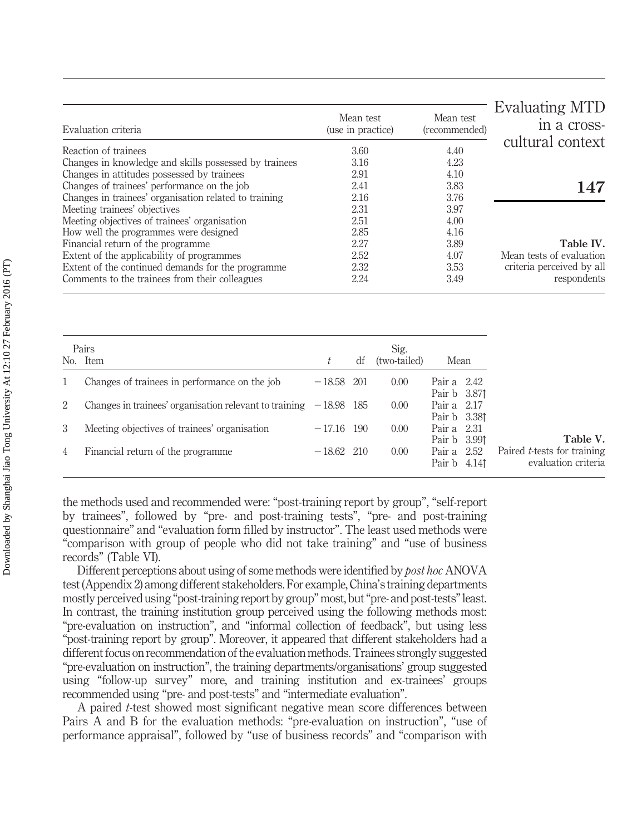| Evaluation criteria                                   | Mean test<br>(use in practice) | Mean test<br>(recommended) | Evaluating MTD<br>in a cross- |
|-------------------------------------------------------|--------------------------------|----------------------------|-------------------------------|
| Reaction of trainees                                  | 3.60                           | 4.40                       | cultural context              |
| Changes in knowledge and skills possessed by trainees | 3.16                           | 4.23                       |                               |
| Changes in attitudes possessed by trainees            | 2.91                           | 4.10                       |                               |
| Changes of trainees' performance on the job           | 2.41                           | 3.83                       | 147                           |
| Changes in trainees' organisation related to training | 2.16                           | 3.76                       |                               |
| Meeting trainees' objectives                          | 2.31                           | 3.97                       |                               |
| Meeting objectives of trainees' organisation          | 2.51                           | 4.00                       |                               |
| How well the programmes were designed                 | 2.85                           | 4.16                       |                               |
| Financial return of the programme                     | 2.27                           | 3.89                       | Table IV.                     |
| Extent of the applicability of programmes             | 2.52                           | 4.07                       | Mean tests of evaluation      |
| Extent of the continued demands for the programme     | 2.32                           | 3.53                       | criteria perceived by all     |
| Comments to the trainees from their colleagues        | 2.24                           | 3.49                       | respondents                   |

|               | Pairs<br>No. Item                                                   |              | df  | Sig.<br>(two-tailed) | Mean                                  |                                                    |
|---------------|---------------------------------------------------------------------|--------------|-----|----------------------|---------------------------------------|----------------------------------------------------|
|               | Changes of trainees in performance on the job                       | $-18.58$ 201 |     | 0.00                 | Pair $a \quad 2.42$<br>Pair b 3.871   |                                                    |
| $\mathcal{L}$ | Changes in trainees' organisation relevant to training $-18.98$ 185 |              |     | 0.00                 | Pair a 2.17<br>Pair b 3.381           |                                                    |
| 3             | Meeting objectives of trainees' organisation                        | $-17.16$     | 190 | 0.00                 | Pair a 2.31<br>Pair b 3.991           | Table V.                                           |
| 4             | Financial return of the programme                                   | $-18.62$ 210 |     | 0.00                 | Pair $a \quad 2.52$<br>Pair $b$ 4.141 | Paired t-tests for training<br>evaluation criteria |

the methods used and recommended were: "post-training report by group", "self-report by trainees", followed by "pre- and post-training tests", "pre- and post-training questionnaire" and "evaluation form filled by instructor". The least used methods were "comparison with group of people who did not take training" and "use of business records" (Table VI).

Different perceptions about using of some methods were identified by post hoc ANOVA test (Appendix 2) among different stakeholders. For example, China's training departments mostly perceived using "post-training report by group" most, but "pre- and post-tests" least. In contrast, the training institution group perceived using the following methods most: "pre-evaluation on instruction", and "informal collection of feedback", but using less "post-training report by group". Moreover, it appeared that different stakeholders had a different focus on recommendation of the evaluation methods. Trainees strongly suggested "pre-evaluation on instruction", the training departments/organisations' group suggested using "follow-up survey" more, and training institution and ex-trainees' groups recommended using "pre- and post-tests" and "intermediate evaluation".

A paired t-test showed most significant negative mean score differences between Pairs A and B for the evaluation methods: "pre-evaluation on instruction", "use of performance appraisal", followed by "use of business records" and "comparison with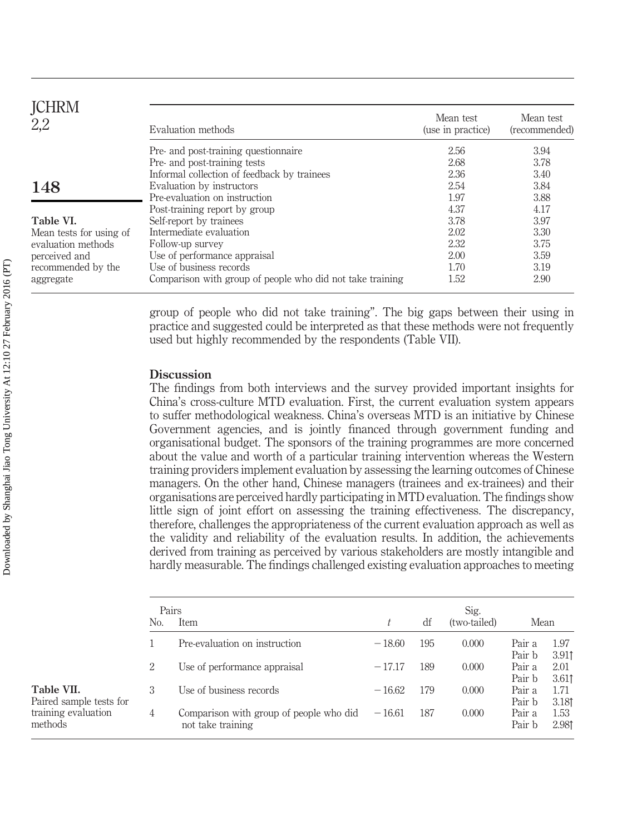| <b>JCHRM</b><br>2,2     | Evaluation methods                                        | Mean test<br>(use in practice) | Mean test<br>(recommended) |
|-------------------------|-----------------------------------------------------------|--------------------------------|----------------------------|
|                         | Pre- and post-training questionnaire                      | 2.56                           | 3.94                       |
|                         | Pre- and post-training tests                              | 2.68                           | 3.78                       |
|                         | Informal collection of feedback by trainees               | 2.36                           | 3.40                       |
| 148                     | Evaluation by instructors                                 | 2.54                           | 3.84                       |
|                         | Pre-evaluation on instruction                             | 1.97                           | 3.88                       |
|                         | Post-training report by group                             | 4.37                           | 4.17                       |
| Table VI.               | Self-report by trainees                                   | 3.78                           | 3.97                       |
| Mean tests for using of | Intermediate evaluation                                   | 2.02                           | 3.30                       |
| evaluation methods      | Follow-up survey                                          | 2.32                           | 3.75                       |
| perceived and           | Use of performance appraisal                              | 2.00                           | 3.59                       |
| recommended by the      | Use of business records                                   | 1.70                           | 3.19                       |
| aggregate               | Comparison with group of people who did not take training | 1.52                           | 2.90                       |

group of people who did not take training". The big gaps between their using in practice and suggested could be interpreted as that these methods were not frequently used but highly recommended by the respondents (Table VII).

#### **Discussion**

The findings from both interviews and the survey provided important insights for China's cross-culture MTD evaluation. First, the current evaluation system appears to suffer methodological weakness. China's overseas MTD is an initiative by Chinese Government agencies, and is jointly financed through government funding and organisational budget. The sponsors of the training programmes are more concerned about the value and worth of a particular training intervention whereas the Western training providers implement evaluation by assessing the learning outcomes of Chinese managers. On the other hand, Chinese managers (trainees and ex-trainees) and their organisations are perceived hardly participating in MTD evaluation. The findings show little sign of joint effort on assessing the training effectiveness. The discrepancy, therefore, challenges the appropriateness of the current evaluation approach as well as the validity and reliability of the evaluation results. In addition, the achievements derived from training as perceived by various stakeholders are mostly intangible and hardly measurable. The findings challenged existing evaluation approaches to meeting

|       | No. | Pairs<br>Item                                                |          | df  | Sig.<br>(two-tailed) | Mean             |                                                |
|-------|-----|--------------------------------------------------------------|----------|-----|----------------------|------------------|------------------------------------------------|
|       |     | Pre-evaluation on instruction                                | $-18,60$ | 195 | 0.000                | Pair a<br>Pair b | 1.97<br>$3.91$ <sup><math>\dagger</math></sup> |
|       | 2   | Use of performance appraisal                                 | $-17.17$ | 189 | 0.000                | Pair a<br>Pair b | 2.01<br>$3.61$ <sup><math>\dagger</math></sup> |
| s for | 3   | Use of business records                                      | $-16.62$ | 179 | 0.000                | Pair a<br>Pair b | 1.71<br>3.181                                  |
|       | 4   | Comparison with group of people who did<br>not take training | $-16.61$ | 187 | 0.000                | Pair a<br>Pair b | 1.53<br>2.981                                  |

Table VII. Paired sample test training evaluation methods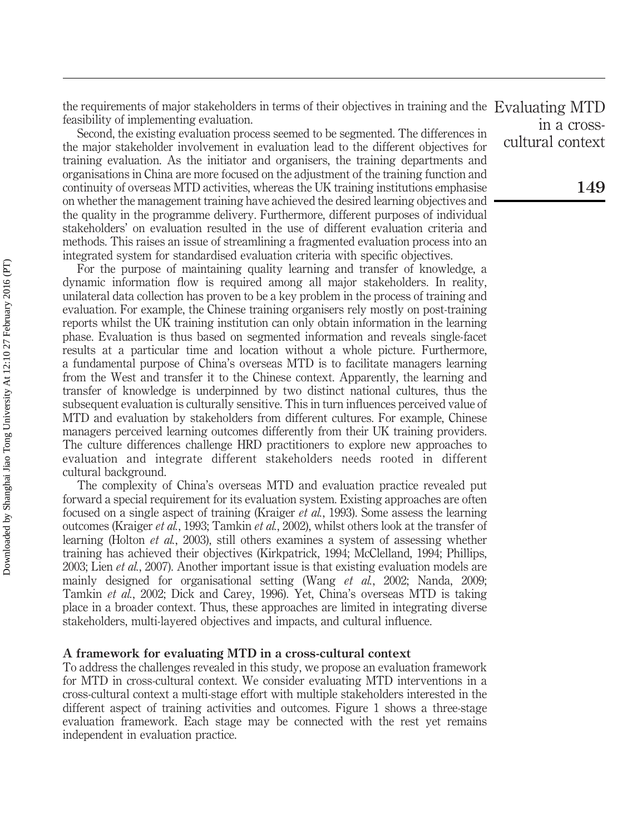the requirements of major stakeholders in terms of their objectives in training and the Evaluating MTD feasibility of implementing evaluation. in a cross-

Second, the existing evaluation process seemed to be segmented. The differences in the major stakeholder involvement in evaluation lead to the different objectives for training evaluation. As the initiator and organisers, the training departments and organisations in China are more focused on the adjustment of the training function and continuity of overseas MTD activities, whereas the UK training institutions emphasise on whether the management training have achieved the desired learning objectives and the quality in the programme delivery. Furthermore, different purposes of individual stakeholders' on evaluation resulted in the use of different evaluation criteria and methods. This raises an issue of streamlining a fragmented evaluation process into an integrated system for standardised evaluation criteria with specific objectives.

For the purpose of maintaining quality learning and transfer of knowledge, a dynamic information flow is required among all major stakeholders. In reality, unilateral data collection has proven to be a key problem in the process of training and evaluation. For example, the Chinese training organisers rely mostly on post-training reports whilst the UK training institution can only obtain information in the learning phase. Evaluation is thus based on segmented information and reveals single-facet results at a particular time and location without a whole picture. Furthermore, a fundamental purpose of China's overseas MTD is to facilitate managers learning from the West and transfer it to the Chinese context. Apparently, the learning and transfer of knowledge is underpinned by two distinct national cultures, thus the subsequent evaluation is culturally sensitive. This in turn influences perceived value of MTD and evaluation by stakeholders from different cultures. For example, Chinese managers perceived learning outcomes differently from their UK training providers. The culture differences challenge HRD practitioners to explore new approaches to evaluation and integrate different stakeholders needs rooted in different cultural background.

The complexity of China's overseas MTD and evaluation practice revealed put forward a special requirement for its evaluation system. Existing approaches are often focused on a single aspect of training (Kraiger et al., 1993). Some assess the learning outcomes (Kraiger et al., 1993; Tamkin et al., 2002), whilst others look at the transfer of learning (Holton et al., 2003), still others examines a system of assessing whether training has achieved their objectives (Kirkpatrick, 1994; McClelland, 1994; Phillips, 2003; Lien et al., 2007). Another important issue is that existing evaluation models are mainly designed for organisational setting (Wang *et al.*, 2002; Nanda, 2009; Tamkin et al., 2002; Dick and Carey, 1996). Yet, China's overseas MTD is taking place in a broader context. Thus, these approaches are limited in integrating diverse stakeholders, multi-layered objectives and impacts, and cultural influence.

#### A framework for evaluating MTD in a cross-cultural context

To address the challenges revealed in this study, we propose an evaluation framework for MTD in cross-cultural context. We consider evaluating MTD interventions in a cross-cultural context a multi-stage effort with multiple stakeholders interested in the different aspect of training activities and outcomes. Figure 1 shows a three-stage evaluation framework. Each stage may be connected with the rest yet remains independent in evaluation practice.

149

cultural context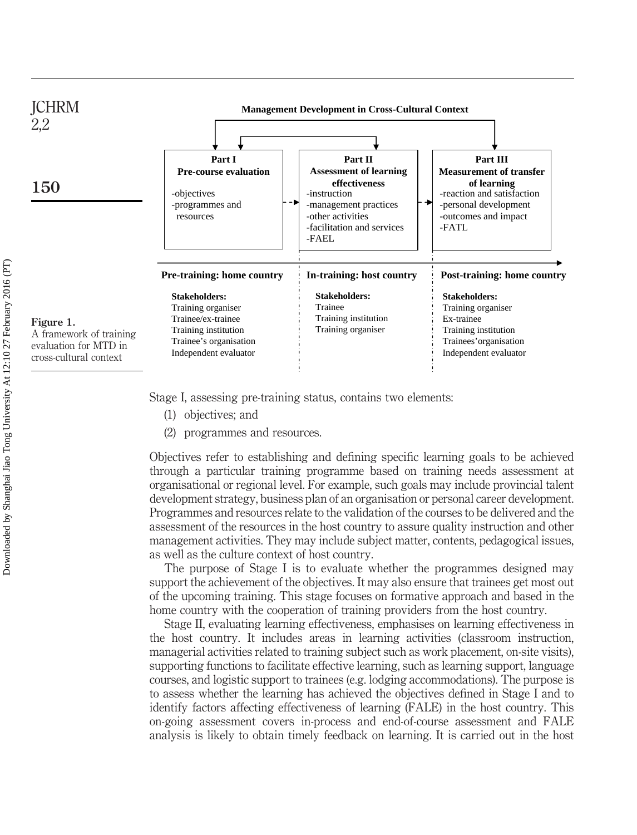

Stage I, assessing pre-training status, contains two elements:

- (1) objectives; and
- (2) programmes and resources.

Objectives refer to establishing and defining specific learning goals to be achieved through a particular training programme based on training needs assessment at organisational or regional level. For example, such goals may include provincial talent development strategy, business plan of an organisation or personal career development. Programmes and resources relate to the validation of the courses to be delivered and the assessment of the resources in the host country to assure quality instruction and other management activities. They may include subject matter, contents, pedagogical issues, as well as the culture context of host country.

The purpose of Stage I is to evaluate whether the programmes designed may support the achievement of the objectives. It may also ensure that trainees get most out of the upcoming training. This stage focuses on formative approach and based in the home country with the cooperation of training providers from the host country.

Stage II, evaluating learning effectiveness, emphasises on learning effectiveness in the host country. It includes areas in learning activities (classroom instruction, managerial activities related to training subject such as work placement, on-site visits), supporting functions to facilitate effective learning, such as learning support, language courses, and logistic support to trainees (e.g. lodging accommodations). The purpose is to assess whether the learning has achieved the objectives defined in Stage I and to identify factors affecting effectiveness of learning (FALE) in the host country. This on-going assessment covers in-process and end-of-course assessment and FALE analysis is likely to obtain timely feedback on learning. It is carried out in the host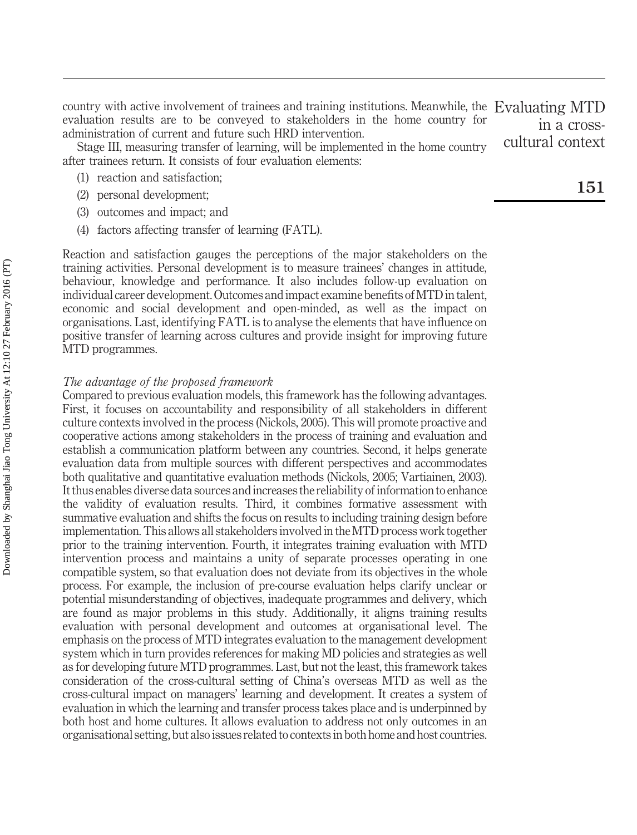country with active involvement of trainees and training institutions. Meanwhile, the Evaluating MTD evaluation results are to be conveyed to stakeholders in the home country for administration of current and future such HRD intervention. in a crosscultural context

Stage III, measuring transfer of learning, will be implemented in the home country after trainees return. It consists of four evaluation elements:

- (1) reaction and satisfaction;
- (2) personal development;
- (3) outcomes and impact; and
- (4) factors affecting transfer of learning (FATL).

Reaction and satisfaction gauges the perceptions of the major stakeholders on the training activities. Personal development is to measure trainees' changes in attitude, behaviour, knowledge and performance. It also includes follow-up evaluation on individual career development. Outcomes and impact examine benefits of MTD in talent, economic and social development and open-minded, as well as the impact on organisations. Last, identifying FATL is to analyse the elements that have influence on positive transfer of learning across cultures and provide insight for improving future MTD programmes.

#### The advantage of the proposed framework

Compared to previous evaluation models, this framework has the following advantages. First, it focuses on accountability and responsibility of all stakeholders in different culture contexts involved in the process (Nickols, 2005). This will promote proactive and cooperative actions among stakeholders in the process of training and evaluation and establish a communication platform between any countries. Second, it helps generate evaluation data from multiple sources with different perspectives and accommodates both qualitative and quantitative evaluation methods (Nickols, 2005; Vartiainen, 2003). It thus enables diverse data sources and increases the reliability of information to enhance the validity of evaluation results. Third, it combines formative assessment with summative evaluation and shifts the focus on results to including training design before implementation. This allows all stakeholders involved in the MTD process work together prior to the training intervention. Fourth, it integrates training evaluation with MTD intervention process and maintains a unity of separate processes operating in one compatible system, so that evaluation does not deviate from its objectives in the whole process. For example, the inclusion of pre-course evaluation helps clarify unclear or potential misunderstanding of objectives, inadequate programmes and delivery, which are found as major problems in this study. Additionally, it aligns training results evaluation with personal development and outcomes at organisational level. The emphasis on the process of MTD integrates evaluation to the management development system which in turn provides references for making MD policies and strategies as well as for developing future MTD programmes. Last, but not the least, this framework takes consideration of the cross-cultural setting of China's overseas MTD as well as the cross-cultural impact on managers' learning and development. It creates a system of evaluation in which the learning and transfer process takes place and is underpinned by both host and home cultures. It allows evaluation to address not only outcomes in an organisational setting, but also issues related to contexts in both home and host countries.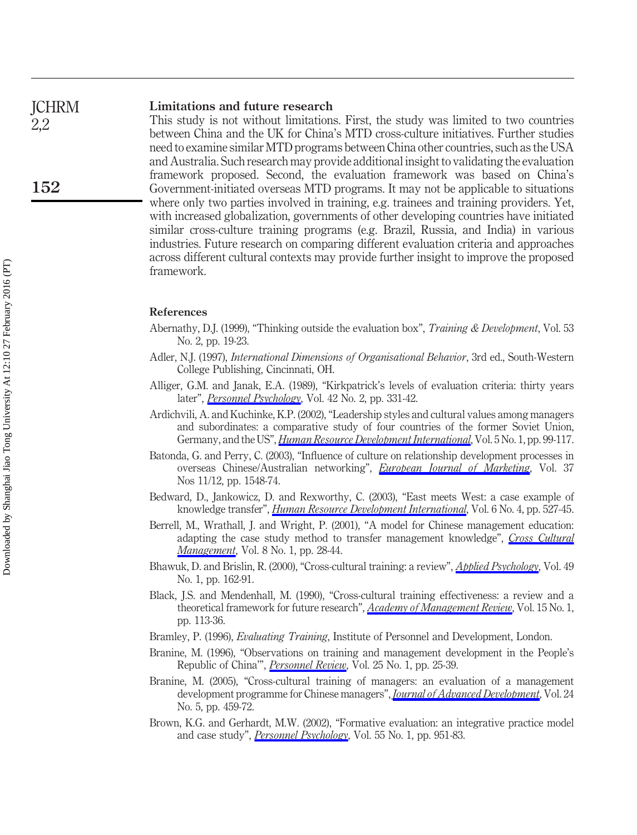#### Limitations and future research JCHRM

This study is not without limitations. First, the study was limited to two countries between China and the UK for China's MTD cross-culture initiatives. Further studies need to examine similar MTD programs between China other countries, such as the USA and Australia. Such research may provide additional insight to validating the evaluation framework proposed. Second, the evaluation framework was based on China's Government-initiated overseas MTD programs. It may not be applicable to situations where only two parties involved in training, e.g. trainees and training providers. Yet, with increased globalization, governments of other developing countries have initiated similar cross-culture training programs (e.g. Brazil, Russia, and India) in various industries. Future research on comparing different evaluation criteria and approaches across different cultural contexts may provide further insight to improve the proposed framework.

#### References

- Abernathy, D.J. (1999), "Thinking outside the evaluation box", *Training & Development*, Vol. 53 No. 2, pp. 19-23.
- Adler, N.J. (1997), International Dimensions of Organisational Behavior, 3rd ed., South-Western College Publishing, Cincinnati, OH.
- Alliger, G.M. and Janak, E.A. (1989), "Kirkpatrick's levels of evaluation criteria: thirty years later", *[Personnel Psychology](http://www.emeraldinsight.com/action/showLinks?crossref=10.1111%2Fj.1744-6570.1989.tb00661.x&isi=A1989AB46000006)*, Vol. 42 No. 2, pp. 331-42.
- Ardichvili, A. and Kuchinke, K.P. (2002), "Leadership styles and cultural values among managers and subordinates: a comparative study of four countries of the former Soviet Union, Germany, and the US", *[Human Resource Development International](http://www.emeraldinsight.com/action/showLinks?crossref=10.1080%2F13678860110046225)*, Vol. 5 No. 1, pp. 99-117.
- Batonda, G. and Perry, C. (2003), "Influence of culture on relationship development processes in overseas Chinese/Australian networking", *[European Journal of Marketing](http://www.emeraldinsight.com/action/showLinks?system=10.1108%2F03090560310495357)*, Vol. 37 Nos 11/12, pp. 1548-74.
- Bedward, D., Jankowicz, D. and Rexworthy, C. (2003), "East meets West: a case example of knowledge transfer", [Human Resource Development International](http://www.emeraldinsight.com/action/showLinks?crossref=10.1080%2F1367886022000016037), Vol. 6 No. 4, pp. 527-45.
- Berrell, M., Wrathall, J. and Wright, P. (2001), "A model for Chinese management education: adapting the case study method to transfer management knowledge", [Cross Cultural](http://www.emeraldinsight.com/action/showLinks?system=10.1108%2F13527600110797182) *[Management](http://www.emeraldinsight.com/action/showLinks?system=10.1108%2F13527600110797182)*, Vol. 8 No. 1, pp. 28-44.
- Bhawuk, D. and Brislin, R. (2000), "Cross-cultural training: a review", *[Applied Psychology](http://www.emeraldinsight.com/action/showLinks?crossref=10.1111%2F1464-0597.00009&isi=000085228600009)*, Vol. 49 No. 1, pp. 162-91.
- Black, J.S. and Mendenhall, M. (1990), "Cross-cultural training effectiveness: a review and a theoretical framework for future research", *[Academy of Management Review](http://www.emeraldinsight.com/action/showLinks?isi=A1990CH22500007)*, Vol. 15 No. 1, pp. 113-36.
- Bramley, P. (1996), Evaluating Training, Institute of Personnel and Development, London.
- Branine, M. (1996), "Observations on training and management development in the People's Republic of China"", *[Personnel Review](http://www.emeraldinsight.com/action/showLinks?system=10.1108%2F00483489610106163&isi=A1996TX54200003)*, Vol. 25 No. 1, pp. 25-39.
- Branine, M. (2005), "Cross-cultural training of managers: an evaluation of a management development programme for Chinese managers", *[Journal of Advanced Development](http://www.emeraldinsight.com/action/showLinks?system-d=10.1108%2F02621710510598463)*, Vol. 24 No. 5, pp. 459-72.
- Brown, K.G. and Gerhardt, M.W. (2002), "Formative evaluation: an integrative practice model and case study", *[Personnel Psychology](http://www.emeraldinsight.com/action/showLinks?crossref=10.1111%2Fj.1744-6570.2002.tb00137.x&isi=000179975600008)*, Vol. 55 No. 1, pp. 951-83.

2,2

152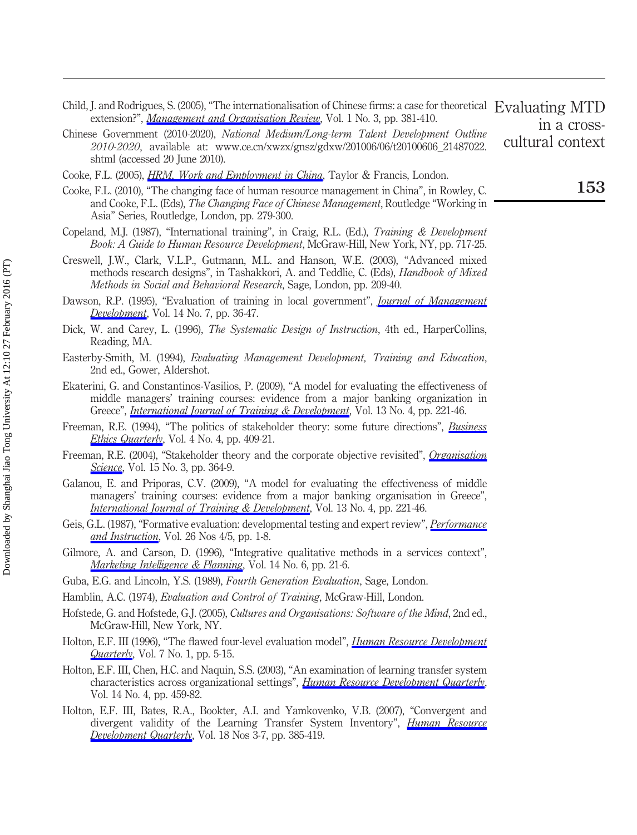| Child, J. and Rodrigues, S. (2005), "The internationalisation of Chinese firms: a case for theoretical Evaluating MTD |             |
|-----------------------------------------------------------------------------------------------------------------------|-------------|
| extension?", <i>Management and Organisation Review</i> , Vol. 1 No. 3, pp. 381-410.                                   |             |
|                                                                                                                       | in a cross- |

- Chinese Government (2010-2020), National Medium/Long-term Talent Development Outline 2010-2020, available at: www.ce.cn/xwzx/gnsz/gdxw/201006/06/t20100606\_21487022. shtml (accessed 20 June 2010).
- Cooke, F.L. (2005), [HRM, Work and Employment in China](http://www.emeraldinsight.com/action/showLinks?crossref=10.4324%2F9780203390702), Taylor & Francis, London.
- Cooke, F.L. (2010), "The changing face of human resource management in China", in Rowley, C. and Cooke, F.L. (Eds), The Changing Face of Chinese Management, Routledge "Working in Asia" Series, Routledge, London, pp. 279-300.
- Copeland, M.J. (1987), "International training", in Craig, R.L. (Ed.), Training & Development Book: A Guide to Human Resource Development, McGraw-Hill, New York, NY, pp. 717-25.
- Creswell, J.W., Clark, V.L.P., Gutmann, M.L. and Hanson, W.E. (2003), "Advanced mixed methods research designs", in Tashakkori, A. and Teddlie, C. (Eds), Handbook of Mixed Methods in Social and Behavioral Research, Sage, London, pp. 209-40.
- Dawson, R.P. (1995), "Evaluation of training in local government", *[Journal of Management](http://www.emeraldinsight.com/action/showLinks?system=10.1108%2F02621719510097352)* [Development](http://www.emeraldinsight.com/action/showLinks?system=10.1108%2F02621719510097352), Vol. 14 No. 7, pp. 36-47.
- Dick, W. and Carey, L. (1996), *The Systematic Design of Instruction*, 4th ed., HarperCollins, Reading, MA.
- Easterby-Smith, M. (1994), Evaluating Management Development, Training and Education, 2nd ed., Gower, Aldershot.
- Ekaterini, G. and Constantinos-Vasilios, P. (2009), "A model for evaluating the effectiveness of middle managers' training courses: evidence from a major banking organization in Greece", *[International Journal of Training & Development](http://www.emeraldinsight.com/action/showLinks?crossref=10.1111%2Fj.1468-2419.2009.00329.x)*, Vol. 13 No. 4, pp. 221-46.
- Freeman, R.E. (1994), "The politics of stakeholder theory: some future directions", *[Business](http://www.emeraldinsight.com/action/showLinks?crossref=10.2307%2F3857340) [Ethics Quarterly](http://www.emeraldinsight.com/action/showLinks?crossref=10.2307%2F3857340)*, Vol. 4 No. 4, pp. 409-21.
- Freeman, R.E. (2004), "Stakeholder theory and the corporate objective revisited", *[Organisation](http://www.emeraldinsight.com/action/showLinks?crossref=10.1287%2Forsc.1040.0066&isi=000222164200008) [Science](http://www.emeraldinsight.com/action/showLinks?crossref=10.1287%2Forsc.1040.0066&isi=000222164200008)*, Vol. 15 No. 3, pp. 364-9.
- Galanou, E. and Priporas, C.V. (2009), "A model for evaluating the effectiveness of middle managers' training courses: evidence from a major banking organisation in Greece", [International Journal of Training & Development](http://www.emeraldinsight.com/action/showLinks?crossref=10.1111%2Fj.1468-2419.2009.00329.x), Vol. 13 No. 4, pp. 221-46.
- Geis, G.L. (1987), "Formative evaluation: developmental testing and expert review", *[Performance](http://www.emeraldinsight.com/action/showLinks?crossref=10.1002%2Fpfi.4160260402)* [and Instruction](http://www.emeraldinsight.com/action/showLinks?crossref=10.1002%2Fpfi.4160260402), Vol. 26 Nos 4/5, pp. 1-8.
- Gilmore, A. and Carson, D. (1996), "Integrative qualitative methods in a services context", [Marketing Intelligence & Planning](http://www.emeraldinsight.com/action/showLinks?system=10.1108%2F02634509610131126), Vol. 14 No. 6, pp. 21-6.
- Guba, E.G. and Lincoln, Y.S. (1989), Fourth Generation Evaluation, Sage, London.
- Hamblin, A.C. (1974), *Evaluation and Control of Training*, McGraw-Hill, London.
- Hofstede, G. and Hofstede, G.J. (2005), Cultures and Organisations: Software of the Mind, 2nd ed., McGraw-Hill, New York, NY.
- Holton, E.F. III (1996), "The flawed four-level evaluation model", *[Human Resource Development](http://www.emeraldinsight.com/action/showLinks?crossref=10.1002%2Fhrdq.3920070103)* **[Quarterly](http://www.emeraldinsight.com/action/showLinks?crossref=10.1002%2Fhrdq.3920070103)**, Vol. 7 No. 1, pp. 5-15.
- Holton, E.F. III, Chen, H.C. and Naquin, S.S. (2003), "An examination of learning transfer system characteristics across organizational settings", *[Human Resource Development Quarterly](http://www.emeraldinsight.com/action/showLinks?crossref=10.1002%2Fhrdq.1079)*, Vol. 14 No. 4, pp. 459-82.
- Holton, E.F. III, Bates, R.A., Bookter, A.I. and Yamkovenko, V.B. (2007), "Convergent and divergent validity of the Learning Transfer System Inventory", *[Human Resource](http://www.emeraldinsight.com/action/showLinks?crossref=10.1002%2Fhrdq.1210)* [Development Quarterly](http://www.emeraldinsight.com/action/showLinks?crossref=10.1002%2Fhrdq.1210), Vol. 18 Nos 3-7, pp. 385-419.

153

cultural context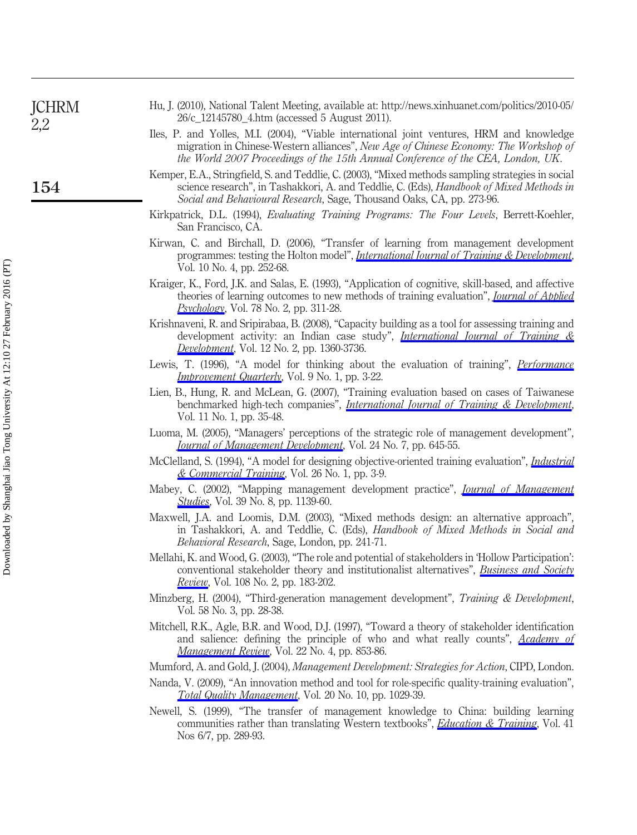| <b>JCHRM</b> | Hu, J. (2010), National Talent Meeting, available at: http://news.xinhuanet.com/politics/2010-05/<br>26/c 12145780 4.htm (accessed 5 August 2011).                                                                                                                             |
|--------------|--------------------------------------------------------------------------------------------------------------------------------------------------------------------------------------------------------------------------------------------------------------------------------|
| 2,2          | Iles, P. and Yolles, M.I. (2004), "Viable international joint ventures, HRM and knowledge<br>migration in Chinese-Western alliances", New Age of Chinese Economy: The Workshop of<br>the World 2007 Proceedings of the 15th Annual Conference of the CEA, London, UK.          |
| 154          | Kemper, E.A., Stringfield, S. and Teddlie, C. (2003), "Mixed methods sampling strategies in social<br>science research", in Tashakkori, A. and Teddlie, C. (Eds), <i>Handbook of Mixed Methods in</i><br>Social and Behavioural Research, Sage, Thousand Oaks, CA, pp. 273-96. |
|              | Kirkpatrick, D.L. (1994), <i>Evaluating Training Programs: The Four Levels</i> , Berrett-Koehler,<br>San Francisco, CA.                                                                                                                                                        |
|              | Kirwan, C. and Birchall, D. (2006), "Transfer of learning from management development<br>programmes: testing the Holton model", <i>International Journal of Training &amp; Development</i> ,<br>Vol. 10 No. 4, pp. 252-68.                                                     |
|              | Kraiger, K., Ford, J.K. and Salas, E. (1993), "Application of cognitive, skill-based, and affective<br>theories of learning outcomes to new methods of training evaluation", <i>Journal of Applied</i><br>Psychology, Vol. 78 No. 2, pp. 311-28.                               |
|              | Krishnaveni, R. and Sripirabaa, B. (2008), "Capacity building as a tool for assessing training and<br>development activity: an Indian case study", <i>International Journal of Training &amp;</i><br><i>Development</i> , Vol. 12 No. 2, pp. 1360-3736.                        |
|              | Lewis, T. (1996), "A model for thinking about the evaluation of training", <i>Performance</i><br><i>Improvement Quarterly</i> , Vol. 9 No. 1, pp. 3-22.                                                                                                                        |
|              | Lien, B., Hung, R. and McLean, G. (2007), "Training evaluation based on cases of Taiwanese<br>benchmarked high-tech companies", <i>International Journal of Training &amp; Development</i> ,<br>Vol. 11 No. 1, pp. 35-48.                                                      |
|              | Luoma, M. (2005), "Managers' perceptions of the strategic role of management development",<br><i>Journal of Management Development</i> , Vol. 24 No. 7, pp. 645-55.                                                                                                            |
|              | McClelland, S. (1994), "A model for designing objective-oriented training evaluation", <i>Industrial</i><br>& Commercial Training, Vol. 26 No. 1, pp. 3-9.                                                                                                                     |
|              | Mabey, C. (2002), "Mapping management development practice", <i>Journal of Management</i><br><i>Studies</i> , Vol. 39 No. 8, pp. 1139-60.                                                                                                                                      |

- Maxwell, J.A. and Loomis, D.M. (2003), "Mixed methods design: an alternative approach", in Tashakkori, A. and Teddlie, C. (Eds), Handbook of Mixed Methods in Social and Behavioral Research, Sage, London, pp. 241-71.
- Mellahi, K. and Wood, G. (2003), "The role and potential of stakeholders in 'Hollow Participation': conventional stakeholder theory and institutionalist alternatives", **[Business and Society](http://www.emeraldinsight.com/action/showLinks?crossref=10.1111%2F1467-8594.00160)** *[Review](http://www.emeraldinsight.com/action/showLinks?crossref=10.1111%2F1467-8594.00160)*, Vol. 108 No. 2, pp. 183-202.
- Minzberg, H. (2004), "Third-generation management development", Training & Development, Vol. 58 No. 3, pp. 28-38.
- Mitchell, R.K., Agle, B.R. and Wood, D.J. (1997), "Toward a theory of stakeholder identification and salience: defining the principle of who and what really counts", [Academy of](http://www.emeraldinsight.com/action/showLinks?isi=000073228300008) [Management Review](http://www.emeraldinsight.com/action/showLinks?isi=000073228300008), Vol. 22 No. 4, pp. 853-86.
- Mumford, A. and Gold, J. (2004), Management Development: Strategies for Action, CIPD, London.
- Nanda, V. (2009), "An innovation method and tool for role-specific quality-training evaluation", [Total Quality Management](http://www.emeraldinsight.com/action/showLinks?crossref=10.1080%2F14783360903247353), Vol. 20 No. 10, pp. 1029-39.
- Newell, S. (1999), "The transfer of management knowledge to China: building learning communities rather than translating Western textbooks", *[Education & Training](http://www.emeraldinsight.com/action/showLinks?system=10.1108%2F00400919910285336)*, Vol. 41 Nos 6/7, pp. 289-93.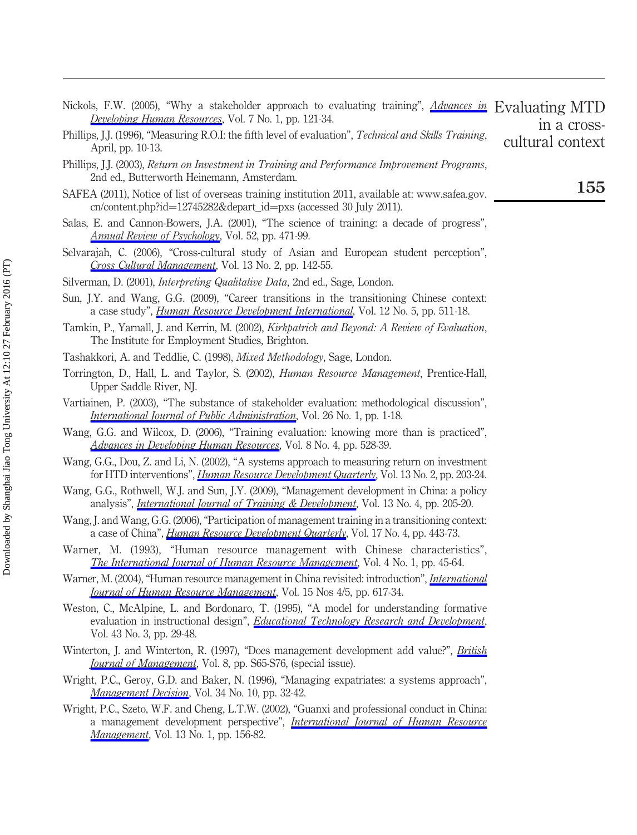| Nickols, F.W. (2005), "Why a stakeholder approach to evaluating training", <i>Advances in</i> Evaluating MTD<br>Developing Human Resources, Vol. 7 No. 1, pp. 121-34.                                                             | in a cross-      |
|-----------------------------------------------------------------------------------------------------------------------------------------------------------------------------------------------------------------------------------|------------------|
| Phillips, J.J. (1996), "Measuring R.O.I: the fifth level of evaluation", <i>Technical and Skills Training</i> ,<br>April, pp. 10-13.                                                                                              | cultural context |
| Phillips, J.J. (2003), Return on Investment in Training and Performance Improvement Programs,<br>2nd ed., Butterworth Heinemann, Amsterdam.                                                                                       |                  |
| SAFEA (2011), Notice of list of overseas training institution 2011, available at: www.safea.gov.<br>cn/content.php?id=12745282&depart_id=pxs (accessed 30 July 2011).                                                             | 155              |
| Salas, E. and Cannon-Bowers, J.A. (2001), "The science of training: a decade of progress",<br>Annual Review of Psychology, Vol. 52, pp. 471-99.                                                                                   |                  |
| Selvarajah, C. (2006), "Cross-cultural study of Asian and European student perception",<br>Cross Cultural Management, Vol. 13 No. 2, pp. 142-55.                                                                                  |                  |
| Silverman, D. (2001), Interpreting Qualitative Data, 2nd ed., Sage, London.                                                                                                                                                       |                  |
| Sun, J.Y. and Wang, G.G. (2009), "Career transitions in the transitioning Chinese context:<br>a case study", <i>Human Resource Development International</i> , Vol. 12 No. 5, pp. 511-18.                                         |                  |
| Tamkin, P., Yarnall, J. and Kerrin, M. (2002), Kirkpatrick and Beyond: A Review of Evaluation,<br>The Institute for Employment Studies, Brighton.                                                                                 |                  |
| Tashakkori, A. and Teddlie, C. (1998), Mixed Methodology, Sage, London.                                                                                                                                                           |                  |
| Torrington, D., Hall, L. and Taylor, S. (2002), Human Resource Management, Prentice-Hall,<br>Upper Saddle River, NJ.                                                                                                              |                  |
| Vartiainen, P. (2003), "The substance of stakeholder evaluation: methodological discussion",<br><i>International Journal of Public Administration</i> , Vol. 26 No. 1, pp. 1-18.                                                  |                  |
| Wang, G.G. and Wilcox, D. (2006), "Training evaluation: knowing more than is practiced",<br>Advances in Developing Human Resources, Vol. 8 No. 4, pp. 528-39.                                                                     |                  |
| Wang, G.G., Dou, Z. and Li, N. (2002), "A systems approach to measuring return on investment<br>for HTD interventions", <i>Human Resource Development Quarterly</i> , Vol. 13 No. 2, pp. 203-24.                                  |                  |
| Wang, G.G., Rothwell, W.J. and Sun, J.Y. (2009), "Management development in China: a policy<br>analysis", <i>International Journal of Training &amp; Development</i> , Vol. 13 No. 4, pp. 205-20.                                 |                  |
| Wang, J. and Wang, G.G. (2006), "Participation of management training in a transitioning context:<br>a case of China", <i>Human Resource Development Quarterly</i> , Vol. 17 No. 4, pp. 443-73.                                   |                  |
| Warner, M. (1993), "Human resource management with Chinese characteristics",<br>The International Journal of Human Resource Management, Vol. 4 No. 1, pp. 45-64.                                                                  |                  |
| Warner, M. (2004), "Human resource management in China revisited: introduction", <i>International</i><br>Journal of Human Resource Management, Vol. 15 Nos 4/5, pp. 617-34.                                                       |                  |
| Weston, C., McAlpine, L. and Bordonaro, T. (1995), "A model for understanding formative<br>evaluation in instructional design", <i>Educational Technology Research and Development</i> ,<br>Vol. 43 No. 3, pp. 29-48.             |                  |
| Winterton, J. and Winterton, R. (1997), "Does management development add value?", British<br><i>Journal of Management</i> , Vol. 8, pp. S65-S76, (special issue).                                                                 |                  |
| Wright, P.C., Geroy, G.D. and Baker, N. (1996), "Managing expatriates: a systems approach",<br>Management Decision, Vol. 34 No. 10, pp. 32-42.                                                                                    |                  |
| Wright, P.C., Szeto, W.F. and Cheng, L.T.W. (2002), "Guanxi and professional conduct in China:<br>a management development perspective", <i>International Journal of Human Resource</i><br>Management, Vol. 13 No. 1, pp. 156-82. |                  |
|                                                                                                                                                                                                                                   |                  |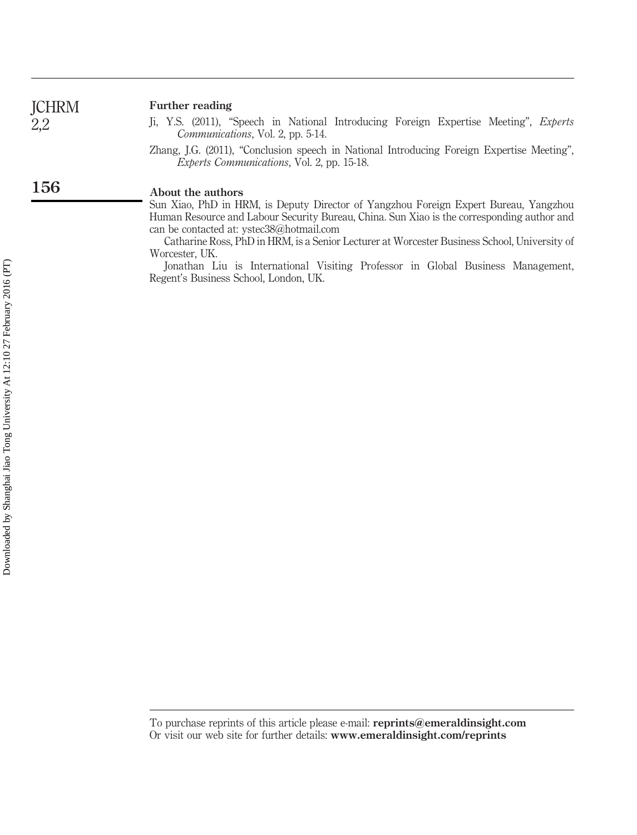#### Further reading

**JCHRM** 2,2

156

- Ji, Y.S. (2011), "Speech in National Introducing Foreign Expertise Meeting", Experts Communications, Vol. 2, pp. 5-14.
- Zhang, J.G. (2011), "Conclusion speech in National Introducing Foreign Expertise Meeting", Experts Communications, Vol. 2, pp. 15-18.

#### About the authors

Sun Xiao, PhD in HRM, is Deputy Director of Yangzhou Foreign Expert Bureau, Yangzhou Human Resource and Labour Security Bureau, China. Sun Xiao is the corresponding author and can be contacted at: ystec38@hotmail.com

Catharine Ross, PhD in HRM, is a Senior Lecturer at Worcester Business School, University of Worcester, UK.

Jonathan Liu is International Visiting Professor in Global Business Management, Regent's Business School, London, UK.

Downloaded by Shanghai Jiao Tong University At 12:10 27 February 2016 (PT) Downloaded by Shanghai Jiao Tong University At 12:10 27 February 2016 (PT)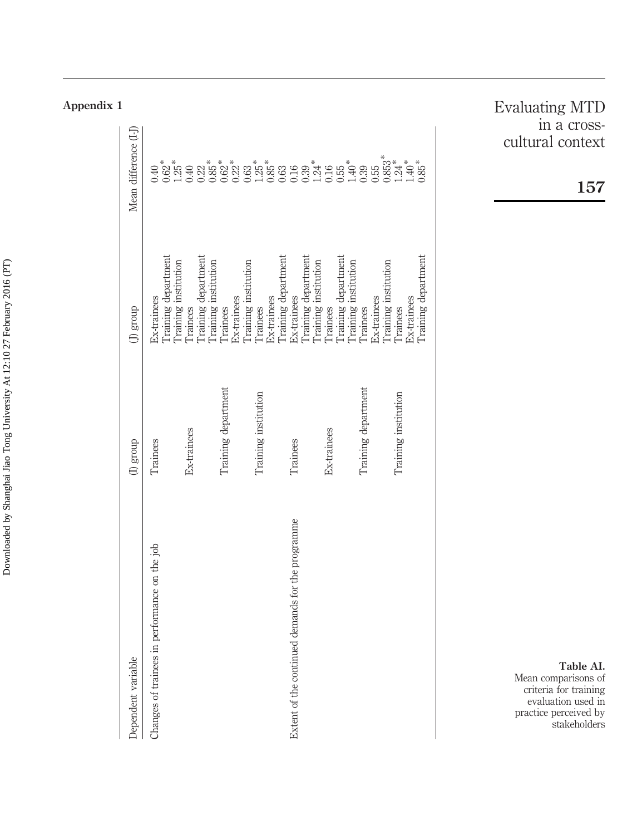| Dependent variable                                | $\mathbbm{O}$ group  | dnon <sub>8</sub> (f)                                      | Mean difference (I-J)                                                                                                                                                                                                                                                                               |
|---------------------------------------------------|----------------------|------------------------------------------------------------|-----------------------------------------------------------------------------------------------------------------------------------------------------------------------------------------------------------------------------------------------------------------------------------------------------|
| Changes of trainees in performance on the job     | Trainees             | Training department<br>Training institution<br>Ex-trainees | $0.62$ $*$<br>1.25 $*$<br>0.40                                                                                                                                                                                                                                                                      |
|                                                   | Ex-trainees          | Trainees                                                   | 0.40                                                                                                                                                                                                                                                                                                |
|                                                   |                      | Training department<br>Training institution                | $\begin{array}{c} 21.11 \\ 22.11 \\ 23.12 \\ 24.13 \\ 25.14 \\ 26.15 \\ 27.15 \\ 28.15 \\ 29.15 \\ 20.15 \\ 21.15 \\ 22.15 \\ 23.15 \\ 24.15 \\ 25.15 \\ 26.15 \\ 27.15 \\ 28.15 \\ 29.15 \\ 20.15 \\ 20.15 \\ 25.15 \\ 27.15 \\ 28.15 \\ 29.15 \\ 29.15 \\ 20.15 \\ 20.15 \\ 20.15 \\ 20.15 \\ 20$ |
|                                                   | Training department  | Ex-trainees<br>Trainees                                    |                                                                                                                                                                                                                                                                                                     |
|                                                   |                      | Training institution                                       |                                                                                                                                                                                                                                                                                                     |
|                                                   | Training institution | Trainees                                                   |                                                                                                                                                                                                                                                                                                     |
|                                                   |                      | Ex-trainees                                                |                                                                                                                                                                                                                                                                                                     |
|                                                   |                      | Training department                                        |                                                                                                                                                                                                                                                                                                     |
| Extent of the continued demands for the programme | Trainees             | Ex-trainees                                                |                                                                                                                                                                                                                                                                                                     |
|                                                   |                      | Training department                                        |                                                                                                                                                                                                                                                                                                     |
|                                                   |                      | Training institution                                       |                                                                                                                                                                                                                                                                                                     |
|                                                   | Ex-trainees          | Trainees                                                   |                                                                                                                                                                                                                                                                                                     |
|                                                   |                      | Training department                                        |                                                                                                                                                                                                                                                                                                     |
|                                                   |                      | Training institution                                       |                                                                                                                                                                                                                                                                                                     |
|                                                   | Training department  | <b>Crainees</b>                                            |                                                                                                                                                                                                                                                                                                     |
|                                                   |                      | Ex-trainees                                                | 0.55                                                                                                                                                                                                                                                                                                |
|                                                   |                      | Training institution                                       | $0.853*$<br>$0.24*$<br>$1.49*$<br>$0.85*$                                                                                                                                                                                                                                                           |
|                                                   | Training institution | Trainees                                                   |                                                                                                                                                                                                                                                                                                     |
|                                                   |                      | Ex-trainees                                                |                                                                                                                                                                                                                                                                                                     |
|                                                   |                      | Training department                                        |                                                                                                                                                                                                                                                                                                     |

Appendix 1

Evaluating MTD in a crosscultural context

157

Table AI. Mean comparisons of criteria for training evaluation used in practice perceived by stakeholders

Downloaded by Shanghai Jiao Tong University At 12:10 27 February 2016 (PT) Downloaded by Shanghai Jiao Tong University At 12:10 27 February 2016 (PT)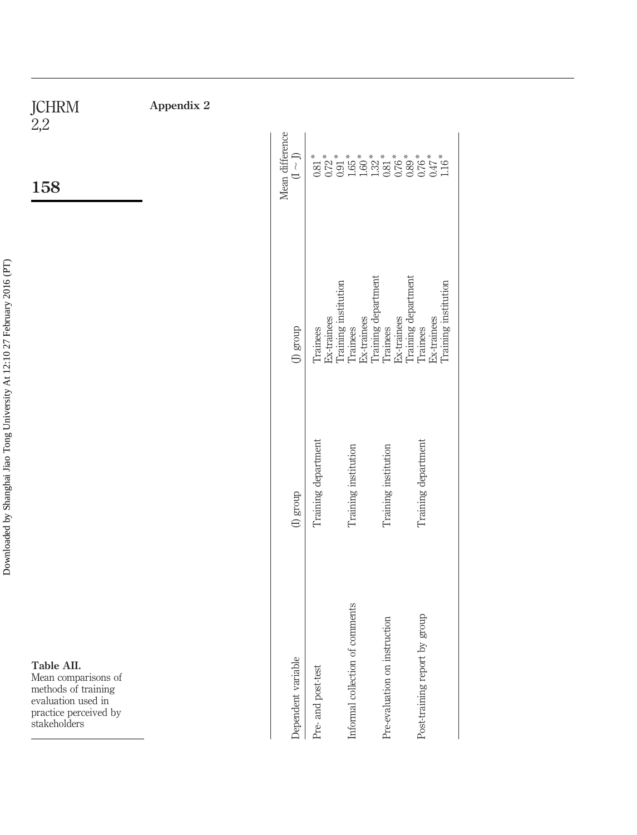| <b>JCHRM</b><br>2,2                                                                                                     | Appendix 2 |                              |                         |                                                 |                                                |                                                                        |
|-------------------------------------------------------------------------------------------------------------------------|------------|------------------------------|-------------------------|-------------------------------------------------|------------------------------------------------|------------------------------------------------------------------------|
| 158                                                                                                                     |            | Mean difference<br>$(1 - 1)$ |                         |                                                 |                                                | $1.16*$                                                                |
|                                                                                                                         |            | (I) group                    | Ex-trainees<br>Trainees | Training institution<br>Ex-trainees<br>Trainees | Training department<br>Ex-trainees<br>Trainees | Training department<br>Training institution<br>Ex-trainees<br>Trainees |
|                                                                                                                         |            | $\mbox{1D}$ group            | Training department     | Training institution                            | Training institution                           | Training department                                                    |
| Table AII.<br>Mean comparisons of<br>methods of training<br>evaluation used in<br>practice perceived by<br>stakeholders |            | Dependent variable           | Pre- and post-test      | Informal collection of comments                 | Pre-evaluation on instruction                  | Post-training report by group                                          |